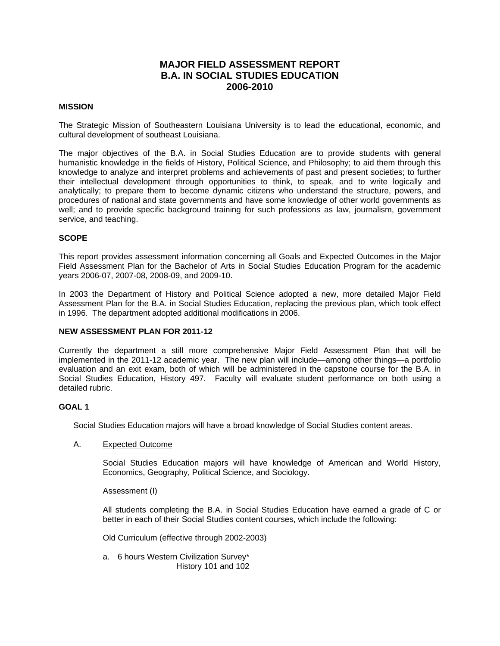## **MAJOR FIELD ASSESSMENT REPORT B.A. IN SOCIAL STUDIES EDUCATION 2006-2010**

### **MISSION**

The Strategic Mission of Southeastern Louisiana University is to lead the educational, economic, and cultural development of southeast Louisiana.

The major objectives of the B.A. in Social Studies Education are to provide students with general humanistic knowledge in the fields of History, Political Science, and Philosophy; to aid them through this knowledge to analyze and interpret problems and achievements of past and present societies; to further their intellectual development through opportunities to think, to speak, and to write logically and analytically; to prepare them to become dynamic citizens who understand the structure, powers, and procedures of national and state governments and have some knowledge of other world governments as well; and to provide specific background training for such professions as law, journalism, government service, and teaching.

## **SCOPE**

This report provides assessment information concerning all Goals and Expected Outcomes in the Major Field Assessment Plan for the Bachelor of Arts in Social Studies Education Program for the academic years 2006-07, 2007-08, 2008-09, and 2009-10.

In 2003 the Department of History and Political Science adopted a new, more detailed Major Field Assessment Plan for the B.A. in Social Studies Education, replacing the previous plan, which took effect in 1996. The department adopted additional modifications in 2006.

#### **NEW ASSESSMENT PLAN FOR 2011-12**

Currently the department a still more comprehensive Major Field Assessment Plan that will be implemented in the 2011-12 academic year. The new plan will include—among other things—a portfolio evaluation and an exit exam, both of which will be administered in the capstone course for the B.A. in Social Studies Education, History 497. Faculty will evaluate student performance on both using a detailed rubric.

#### **GOAL 1**

Social Studies Education majors will have a broad knowledge of Social Studies content areas.

#### A. Expected Outcome

Social Studies Education majors will have knowledge of American and World History, Economics, Geography, Political Science, and Sociology.

#### Assessment (I)

All students completing the B.A. in Social Studies Education have earned a grade of C or better in each of their Social Studies content courses, which include the following:

#### Old Curriculum (effective through 2002-2003)

a. 6 hours Western Civilization Survey\* History 101 and 102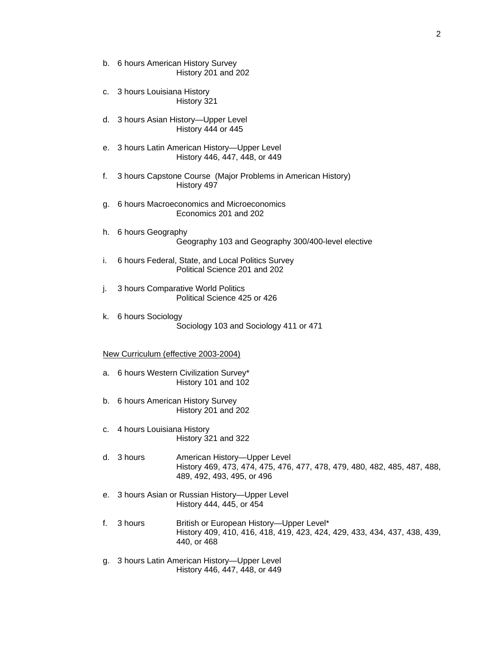- b. 6 hours American History Survey History 201 and 202
- c. 3 hours Louisiana History History 321
- d. 3 hours Asian History—Upper Level History 444 or 445
- e. 3 hours Latin American History—Upper Level History 446, 447, 448, or 449
- f. 3 hours Capstone Course (Major Problems in American History) History 497
- g. 6 hours Macroeconomics and Microeconomics Economics 201 and 202
- h. 6 hours Geography Geography 103 and Geography 300/400-level elective
- i. 6 hours Federal, State, and Local Politics Survey Political Science 201 and 202
- j. 3 hours Comparative World Politics Political Science 425 or 426
- k. 6 hours Sociology Sociology 103 and Sociology 411 or 471

#### New Curriculum (effective 2003-2004)

- a. 6 hours Western Civilization Survey\* History 101 and 102
- b. 6 hours American History Survey History 201 and 202
- c. 4 hours Louisiana History History 321 and 322
- d. 3 hours American History—Upper Level History 469, 473, 474, 475, 476, 477, 478, 479, 480, 482, 485, 487, 488, 489, 492, 493, 495, or 496
- e. 3 hours Asian or Russian History—Upper Level History 444, 445, or 454
- f. 3 hours British or European History—Upper Level\* History 409, 410, 416, 418, 419, 423, 424, 429, 433, 434, 437, 438, 439, 440, or 468
- g. 3 hours Latin American History—Upper Level History 446, 447, 448, or 449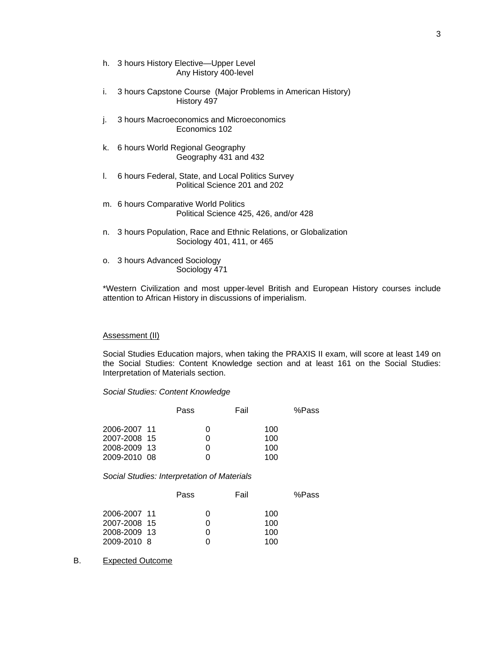- h. 3 hours History Elective—Upper Level Any History 400-level
- i. 3 hours Capstone Course (Major Problems in American History) History 497
- j. 3 hours Macroeconomics and Microeconomics Economics 102
- k. 6 hours World Regional Geography Geography 431 and 432
- l. 6 hours Federal, State, and Local Politics Survey Political Science 201 and 202
- m. 6 hours Comparative World Politics Political Science 425, 426, and/or 428
- n. 3 hours Population, Race and Ethnic Relations, or Globalization Sociology 401, 411, or 465
- o. 3 hours Advanced Sociology Sociology 471

\*Western Civilization and most upper-level British and European History courses include attention to African History in discussions of imperialism.

## Assessment (II)

Social Studies Education majors, when taking the PRAXIS II exam, will score at least 149 on the Social Studies: Content Knowledge section and at least 161 on the Social Studies: Interpretation of Materials section.

*Social Studies: Content Knowledge* 

|              | Pass |   | Fail |     | %Pass |
|--------------|------|---|------|-----|-------|
| 2006-2007 11 |      | 0 |      | 100 |       |
| 2007-2008 15 |      | 0 |      | 100 |       |
| 2008-2009 13 |      | O |      | 100 |       |
| 2009-2010 08 |      |   |      | 100 |       |

*Social Studies: Interpretation of Materials* 

|              | Pass     | Fail |     | %Pass |
|--------------|----------|------|-----|-------|
| 2006-2007 11 | $^{(1)}$ |      | 100 |       |
| 2007-2008 15 | 0        |      | 100 |       |
| 2008-2009 13 | 0        |      | 100 |       |
| 2009-2010 8  |          |      | 100 |       |

## B. Expected Outcome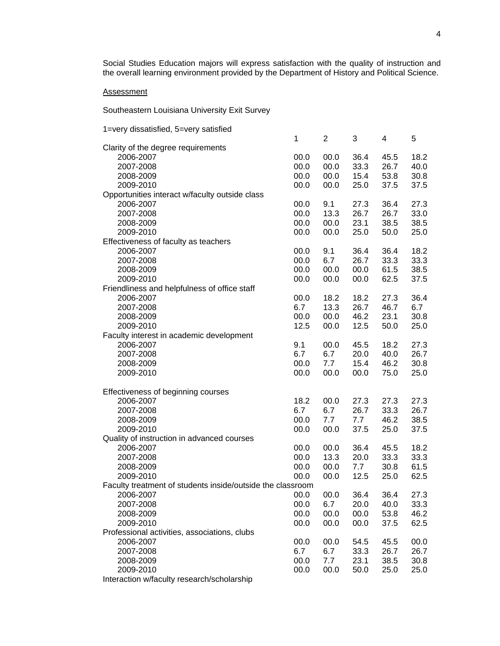Social Studies Education majors will express satisfaction with the quality of instruction and the overall learning environment provided by the Department of History and Political Science.

## **Assessment**

Southeastern Louisiana University Exit Survey

| 1=very dissatisfied, 5=very satisfied                      |      |                |      |      |      |
|------------------------------------------------------------|------|----------------|------|------|------|
|                                                            | 1    | $\overline{2}$ | 3    | 4    | 5    |
| Clarity of the degree requirements                         |      |                |      |      |      |
| 2006-2007                                                  | 00.0 | 00.0           | 36.4 | 45.5 | 18.2 |
| 2007-2008                                                  | 00.0 | 00.0           | 33.3 | 26.7 | 40.0 |
| 2008-2009                                                  | 00.0 | 00.0           | 15.4 | 53.8 | 30.8 |
| 2009-2010                                                  | 00.0 | 00.0           | 25.0 | 37.5 | 37.5 |
| Opportunities interact w/faculty outside class             |      |                |      |      |      |
| 2006-2007                                                  | 00.0 | 9.1            | 27.3 | 36.4 | 27.3 |
| 2007-2008                                                  | 00.0 | 13.3           | 26.7 | 26.7 | 33.0 |
| 2008-2009                                                  | 00.0 | 00.0           | 23.1 | 38.5 | 38.5 |
| 2009-2010                                                  | 00.0 | 00.0           | 25.0 | 50.0 | 25.0 |
| Effectiveness of faculty as teachers                       |      |                |      |      |      |
| 2006-2007                                                  | 00.0 | 9.1            | 36.4 | 36.4 | 18.2 |
| 2007-2008                                                  | 00.0 | 6.7            | 26.7 | 33.3 | 33.3 |
| 2008-2009                                                  | 00.0 | 00.0           | 00.0 | 61.5 | 38.5 |
| 2009-2010                                                  | 00.0 | 00.0           | 00.0 | 62.5 | 37.5 |
| Friendliness and helpfulness of office staff               |      |                |      |      |      |
| 2006-2007                                                  | 00.0 | 18.2           | 18.2 | 27.3 | 36.4 |
| 2007-2008                                                  | 6.7  | 13.3           | 26.7 | 46.7 | 6.7  |
| 2008-2009                                                  | 00.0 | 00.0           | 46.2 | 23.1 | 30.8 |
| 2009-2010                                                  | 12.5 | 00.0           | 12.5 | 50.0 | 25.0 |
| Faculty interest in academic development                   |      |                |      |      |      |
| 2006-2007                                                  | 9.1  | 00.0           | 45.5 | 18.2 | 27.3 |
| 2007-2008                                                  | 6.7  | 6.7            | 20.0 | 40.0 | 26.7 |
| 2008-2009                                                  | 00.0 | 7.7            | 15.4 | 46.2 | 30.8 |
| 2009-2010                                                  | 00.0 | 00.0           | 00.0 | 75.0 | 25.0 |
|                                                            |      |                |      |      |      |
| Effectiveness of beginning courses                         |      |                |      |      |      |
| 2006-2007                                                  | 18.2 | 00.0           | 27.3 | 27.3 | 27.3 |
| 2007-2008                                                  | 6.7  | 6.7            | 26.7 | 33.3 | 26.7 |
| 2008-2009                                                  | 00.0 | 7.7            | 7.7  | 46.2 | 38.5 |
| 2009-2010                                                  | 00.0 | 00.0           | 37.5 | 25.0 | 37.5 |
| Quality of instruction in advanced courses                 |      |                |      |      |      |
| 2006-2007                                                  | 00.0 | 00.0           | 36.4 | 45.5 | 18.2 |
| 2007-2008                                                  | 00.0 | 13.3           | 20.0 | 33.3 | 33.3 |
| 2008-2009                                                  | 00.0 | 00.0           | 7.7  | 30.8 | 61.5 |
| 2009-2010                                                  | 00.0 | 00.0           | 12.5 | 25.0 | 62.5 |
| Faculty treatment of students inside/outside the classroom |      |                |      |      |      |
| 2006-2007                                                  | 00.0 | 00.0           | 36.4 | 36.4 | 27.3 |
| 2007-2008                                                  | 00.0 | 6.7            | 20.0 | 40.0 | 33.3 |
| 2008-2009                                                  | 00.0 | 00.0           | 00.0 | 53.8 | 46.2 |
| 2009-2010                                                  | 00.0 | 00.0           | 00.0 | 37.5 | 62.5 |
| Professional activities, associations, clubs               |      |                |      |      |      |
| 2006-2007                                                  | 00.0 | 00.0           | 54.5 | 45.5 | 00.0 |
| 2007-2008                                                  | 6.7  | 6.7            | 33.3 | 26.7 | 26.7 |
| 2008-2009                                                  | 00.0 | 7.7            | 23.1 | 38.5 | 30.8 |
| 2009-2010                                                  | 00.0 | 00.0           | 50.0 | 25.0 | 25.0 |
|                                                            |      |                |      |      |      |

Interaction w/faculty research/scholarship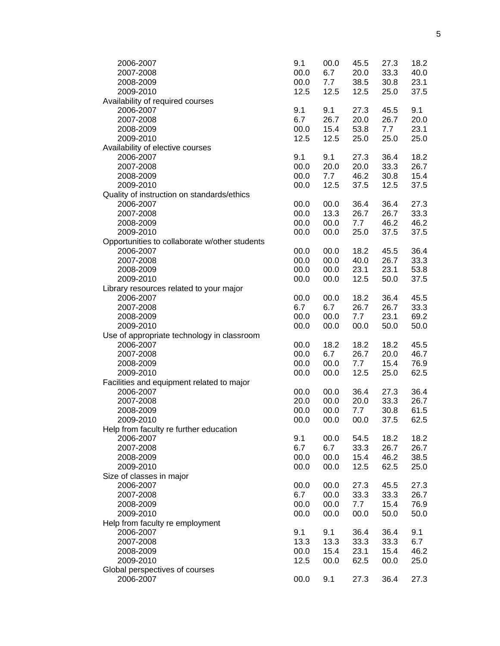| 2006-2007                                     | 9.1  | 00.0 | 45.5 | 27.3 | 18.2 |
|-----------------------------------------------|------|------|------|------|------|
| 2007-2008                                     | 00.0 | 6.7  | 20.0 | 33.3 | 40.0 |
| 2008-2009                                     | 00.0 | 7.7  | 38.5 | 30.8 | 23.1 |
| 2009-2010                                     | 12.5 | 12.5 | 12.5 | 25.0 | 37.5 |
| Availability of required courses              |      |      |      |      |      |
| 2006-2007                                     | 9.1  | 9.1  | 27.3 | 45.5 | 9.1  |
| 2007-2008                                     | 6.7  | 26.7 | 20.0 | 26.7 | 20.0 |
| 2008-2009                                     | 00.0 | 15.4 | 53.8 | 7.7  | 23.1 |
| 2009-2010                                     | 12.5 | 12.5 | 25.0 | 25.0 | 25.0 |
| Availability of elective courses              |      |      |      |      |      |
| 2006-2007                                     | 9.1  | 9.1  | 27.3 | 36.4 | 18.2 |
| 2007-2008                                     | 00.0 | 20.0 | 20.0 | 33.3 | 26.7 |
| 2008-2009                                     | 00.0 | 7.7  | 46.2 | 30.8 | 15.4 |
| 2009-2010                                     | 00.0 | 12.5 | 37.5 | 12.5 | 37.5 |
|                                               |      |      |      |      |      |
| Quality of instruction on standards/ethics    |      |      |      |      |      |
| 2006-2007                                     | 00.0 | 00.0 | 36.4 | 36.4 | 27.3 |
| 2007-2008                                     | 00.0 | 13.3 | 26.7 | 26.7 | 33.3 |
| 2008-2009                                     | 00.0 | 00.0 | 7.7  | 46.2 | 46.2 |
| 2009-2010                                     | 00.0 | 00.0 | 25.0 | 37.5 | 37.5 |
| Opportunities to collaborate w/other students |      |      |      |      |      |
| 2006-2007                                     | 00.0 | 00.0 | 18.2 | 45.5 | 36.4 |
| 2007-2008                                     | 00.0 | 00.0 | 40.0 | 26.7 | 33.3 |
| 2008-2009                                     | 00.0 | 00.0 | 23.1 | 23.1 | 53.8 |
| 2009-2010                                     | 00.0 | 00.0 | 12.5 | 50.0 | 37.5 |
| Library resources related to your major       |      |      |      |      |      |
| 2006-2007                                     | 00.0 | 00.0 | 18.2 | 36.4 | 45.5 |
| 2007-2008                                     | 6.7  | 6.7  | 26.7 | 26.7 | 33.3 |
| 2008-2009                                     | 00.0 | 00.0 | 7.7  | 23.1 | 69.2 |
| 2009-2010                                     | 00.0 | 00.0 | 00.0 | 50.0 | 50.0 |
| Use of appropriate technology in classroom    |      |      |      |      |      |
| 2006-2007                                     | 00.0 | 18.2 | 18.2 | 18.2 | 45.5 |
| 2007-2008                                     | 00.0 | 6.7  | 26.7 | 20.0 | 46.7 |
| 2008-2009                                     | 00.0 | 00.0 | 7.7  | 15.4 | 76.9 |
| 2009-2010                                     | 00.0 | 00.0 | 12.5 | 25.0 | 62.5 |
| Facilities and equipment related to major     |      |      |      |      |      |
| 2006-2007                                     | 00.0 | 00.0 | 36.4 | 27.3 | 36.4 |
| 2007-2008                                     | 20.0 | 00.0 | 20.0 | 33.3 | 26.7 |
| 2008-2009                                     | 00.0 | 00.0 | 7.7  | 30.8 | 61.5 |
| 2009-2010                                     | 00.0 | 00.0 | 00.0 | 37.5 | 62.5 |
| Help from faculty re further education        |      |      |      |      |      |
| 2006-2007                                     | 9.1  | 00.0 | 54.5 | 18.2 | 18.2 |
| 2007-2008                                     | 6.7  | 6.7  | 33.3 | 26.7 | 26.7 |
| 2008-2009                                     | 00.0 | 00.0 | 15.4 | 46.2 | 38.5 |
| 2009-2010                                     | 00.0 | 00.0 | 12.5 | 62.5 | 25.0 |
| Size of classes in major                      |      |      |      |      |      |
| 2006-2007                                     | 00.0 | 00.0 | 27.3 | 45.5 | 27.3 |
| 2007-2008                                     | 6.7  | 00.0 | 33.3 | 33.3 | 26.7 |
| 2008-2009                                     | 00.0 | 00.0 | 7.7  | 15.4 | 76.9 |
| 2009-2010                                     | 00.0 | 00.0 | 00.0 | 50.0 | 50.0 |
| Help from faculty re employment               |      |      |      |      |      |
|                                               |      |      |      |      |      |
| 2006-2007                                     | 9.1  | 9.1  | 36.4 | 36.4 | 9.1  |
| 2007-2008                                     | 13.3 | 13.3 | 33.3 | 33.3 | 6.7  |
| 2008-2009                                     | 00.0 | 15.4 | 23.1 | 15.4 | 46.2 |
| 2009-2010                                     | 12.5 | 00.0 | 62.5 | 00.0 | 25.0 |
| Global perspectives of courses                |      |      |      |      |      |
| 2006-2007                                     | 00.0 | 9.1  | 27.3 | 36.4 | 27.3 |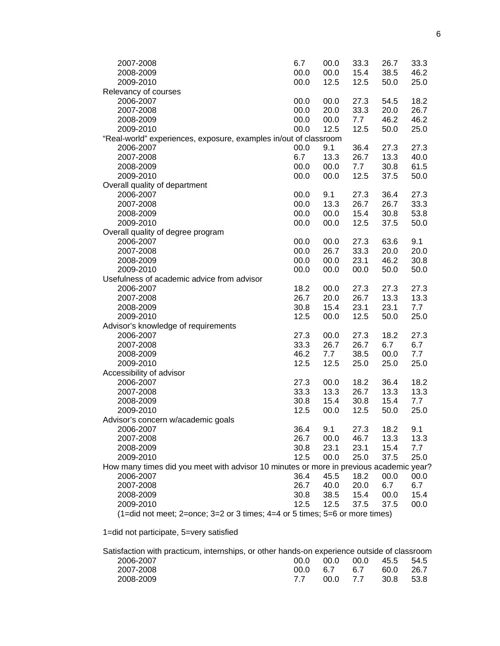| 2007-2008                                                                              | 6.7  | 00.0 | 33.3 | 26.7 | 33.3 |
|----------------------------------------------------------------------------------------|------|------|------|------|------|
| 2008-2009                                                                              | 00.0 | 00.0 | 15.4 | 38.5 | 46.2 |
| 2009-2010                                                                              | 00.0 | 12.5 | 12.5 | 50.0 | 25.0 |
| Relevancy of courses                                                                   |      |      |      |      |      |
| 2006-2007                                                                              | 00.0 | 00.0 | 27.3 | 54.5 | 18.2 |
| 2007-2008                                                                              | 00.0 | 20.0 | 33.3 | 20.0 | 26.7 |
| 2008-2009                                                                              | 00.0 | 00.0 | 7.7  | 46.2 | 46.2 |
| 2009-2010                                                                              | 00.0 | 12.5 | 12.5 | 50.0 | 25.0 |
| "Real-world" experiences, exposure, examples in/out of classroom                       |      |      |      |      |      |
| 2006-2007                                                                              | 00.0 | 9.1  | 36.4 | 27.3 | 27.3 |
| 2007-2008                                                                              | 6.7  | 13.3 | 26.7 | 13.3 | 40.0 |
| 2008-2009                                                                              | 00.0 | 00.0 | 7.7  | 30.8 | 61.5 |
| 2009-2010                                                                              | 00.0 | 00.0 | 12.5 | 37.5 | 50.0 |
| Overall quality of department                                                          |      |      |      |      |      |
| 2006-2007                                                                              | 00.0 | 9.1  | 27.3 | 36.4 | 27.3 |
| 2007-2008                                                                              | 00.0 | 13.3 | 26.7 | 26.7 | 33.3 |
| 2008-2009                                                                              | 00.0 | 00.0 | 15.4 | 30.8 | 53.8 |
|                                                                                        | 00.0 |      |      |      |      |
| 2009-2010                                                                              |      | 00.0 | 12.5 | 37.5 | 50.0 |
| Overall quality of degree program                                                      |      |      |      |      |      |
| 2006-2007                                                                              | 00.0 | 00.0 | 27.3 | 63.6 | 9.1  |
| 2007-2008                                                                              | 00.0 | 26.7 | 33.3 | 20.0 | 20.0 |
| 2008-2009                                                                              | 00.0 | 00.0 | 23.1 | 46.2 | 30.8 |
| 2009-2010                                                                              | 00.0 | 00.0 | 00.0 | 50.0 | 50.0 |
| Usefulness of academic advice from advisor                                             |      |      |      |      |      |
| 2006-2007                                                                              | 18.2 | 00.0 | 27.3 | 27.3 | 27.3 |
| 2007-2008                                                                              | 26.7 | 20.0 | 26.7 | 13.3 | 13.3 |
| 2008-2009                                                                              | 30.8 | 15.4 | 23.1 | 23.1 | 7.7  |
| 2009-2010                                                                              | 12.5 | 00.0 | 12.5 | 50.0 | 25.0 |
| Advisor's knowledge of requirements                                                    |      |      |      |      |      |
| 2006-2007                                                                              | 27.3 | 00.0 | 27.3 | 18.2 | 27.3 |
| 2007-2008                                                                              | 33.3 | 26.7 | 26.7 | 6.7  | 6.7  |
| 2008-2009                                                                              | 46.2 | 7.7  | 38.5 | 00.0 | 7.7  |
| 2009-2010                                                                              | 12.5 | 12.5 | 25.0 | 25.0 | 25.0 |
| Accessibility of advisor                                                               |      |      |      |      |      |
| 2006-2007                                                                              | 27.3 | 00.0 | 18.2 | 36.4 | 18.2 |
| 2007-2008                                                                              | 33.3 | 13.3 | 26.7 | 13.3 | 13.3 |
| 2008-2009                                                                              | 30.8 | 15.4 | 30.8 | 15.4 | 7.7  |
| 2009-2010                                                                              | 12.5 | 00.0 | 12.5 | 50.0 | 25.0 |
| Advisor's concern w/academic goals                                                     |      |      |      |      |      |
| 2006-2007                                                                              | 36.4 | 9.1  | 27.3 | 18.2 | 9.1  |
| 2007-2008                                                                              | 26.7 | 00.0 | 46.7 | 13.3 | 13.3 |
| 2008-2009                                                                              | 30.8 | 23.1 | 23.1 | 15.4 | 7.7  |
| 2009-2010                                                                              | 12.5 | 00.0 | 25.0 | 37.5 | 25.0 |
| How many times did you meet with advisor 10 minutes or more in previous academic year? |      |      |      |      |      |
| 2006-2007                                                                              | 36.4 | 45.5 | 18.2 | 00.0 | 00.0 |
| 2007-2008                                                                              | 26.7 | 40.0 | 20.0 | 6.7  | 6.7  |
| 2008-2009                                                                              | 30.8 | 38.5 | 15.4 | 00.0 | 15.4 |
| 2009-2010                                                                              | 12.5 | 12.5 | 37.5 | 37.5 | 00.0 |
| $(1=$ did not meet; 2=once; 3=2 or 3 times; 4=4 or 5 times; 5=6 or more times)         |      |      |      |      |      |
|                                                                                        |      |      |      |      |      |

1=did not participate, 5=very satisfied

|           | Satisfaction with practicum, internships, or other hands-on experience outside of classroom |          |     |                |        |
|-----------|---------------------------------------------------------------------------------------------|----------|-----|----------------|--------|
| 2006-2007 | ററ റ                                                                                        | 00.O     |     | 00.0 45.5 54.5 |        |
| 2007-2008 |                                                                                             | 00.0 6.7 | -67 | 60.0           | - 26.7 |
| 2008-2009 |                                                                                             | 00.0 7.7 |     | 30.8 53.8      |        |
|           |                                                                                             |          |     |                |        |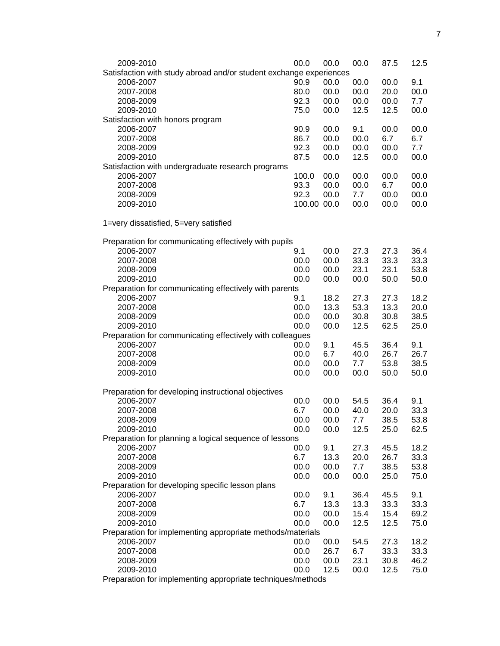| 2009-2010                                                          | 00.0                | 00.0 | 00.0 | 87.5 | 12.5 |
|--------------------------------------------------------------------|---------------------|------|------|------|------|
| Satisfaction with study abroad and/or student exchange experiences |                     |      |      |      |      |
| 2006-2007                                                          | 90.9                | 00.0 | 00.0 | 00.0 | 9.1  |
| 2007-2008                                                          | 80.0                | 00.0 | 00.0 | 20.0 | 00.0 |
| 2008-2009                                                          | 92.3                | 00.0 | 00.0 | 00.0 | 7.7  |
| 2009-2010                                                          | 75.0                | 00.0 | 12.5 | 12.5 | 00.0 |
| Satisfaction with honors program                                   |                     |      |      |      |      |
| 2006-2007                                                          | 90.9                | 00.0 | 9.1  | 00.0 | 00.0 |
| 2007-2008                                                          | 86.7                | 00.0 | 00.0 | 6.7  | 6.7  |
| 2008-2009                                                          | 92.3                | 00.0 | 00.0 | 00.0 | 7.7  |
| 2009-2010                                                          | 87.5                | 00.0 | 12.5 | 00.0 | 00.0 |
| Satisfaction with undergraduate research programs                  |                     |      |      |      |      |
| 2006-2007                                                          | 100.0               | 00.0 | 00.0 | 00.0 | 00.0 |
| 2007-2008                                                          | 93.3                | 00.0 | 00.0 | 6.7  | 00.0 |
| 2008-2009                                                          | 92.3<br>100.00 00.0 | 00.0 | 7.7  | 00.0 | 00.0 |
| 2009-2010                                                          |                     |      | 00.0 | 00.0 | 00.0 |
| 1=very dissatisfied, 5=very satisfied                              |                     |      |      |      |      |
| Preparation for communicating effectively with pupils              |                     |      |      |      |      |
| 2006-2007                                                          | 9.1                 | 00.0 | 27.3 | 27.3 | 36.4 |
| 2007-2008                                                          | 00.0                | 00.0 | 33.3 | 33.3 | 33.3 |
| 2008-2009                                                          | 00.0                | 00.0 | 23.1 | 23.1 | 53.8 |
| 2009-2010                                                          | 00.0                | 00.0 | 00.0 | 50.0 | 50.0 |
| Preparation for communicating effectively with parents             |                     |      |      |      |      |
| 2006-2007                                                          | 9.1                 | 18.2 | 27.3 | 27.3 | 18.2 |
| 2007-2008                                                          | 00.0                | 13.3 | 53.3 | 13.3 | 20.0 |
| 2008-2009                                                          | 00.0                | 00.0 | 30.8 | 30.8 | 38.5 |
| 2009-2010                                                          | 00.0                | 00.0 | 12.5 | 62.5 | 25.0 |
| Preparation for communicating effectively with colleagues          |                     |      |      |      |      |
| 2006-2007                                                          | 00.0                | 9.1  | 45.5 | 36.4 | 9.1  |
| 2007-2008                                                          | 00.0                | 6.7  | 40.0 | 26.7 | 26.7 |
| 2008-2009                                                          | 00.0                | 00.0 | 7.7  | 53.8 | 38.5 |
| 2009-2010                                                          | 00.0                | 00.0 | 00.0 | 50.0 | 50.0 |
| Preparation for developing instructional objectives                |                     |      |      |      |      |
| 2006-2007                                                          | 00.0                | 00.0 | 54.5 | 36.4 | 9.1  |
| 2007-2008                                                          | 6.7                 | 00.0 | 40.0 | 20.0 | 33.3 |
| 2008-2009                                                          | 00.0                | 00.0 | 7.7  | 38.5 | 53.8 |
| 2009-2010                                                          | 00.0                | 00.0 | 12.5 | 25.0 | 62.5 |
| Preparation for planning a logical sequence of lessons             |                     |      |      |      |      |
| 2006-2007                                                          | 00.0                | 9.1  | 27.3 | 45.5 | 18.2 |
| 2007-2008                                                          | 6.7                 | 13.3 | 20.0 | 26.7 | 33.3 |
| 2008-2009                                                          | 00.0                | 00.0 | 7.7  | 38.5 | 53.8 |
| 2009-2010                                                          | 00.0                | 00.0 | 00.0 | 25.0 | 75.0 |
| Preparation for developing specific lesson plans                   |                     |      |      |      |      |
| 2006-2007                                                          | 00.0                | 9.1  | 36.4 | 45.5 | 9.1  |
| 2007-2008                                                          | 6.7                 | 13.3 | 13.3 | 33.3 | 33.3 |
| 2008-2009                                                          | 00.0                | 00.0 | 15.4 | 15.4 | 69.2 |
| 2009-2010                                                          | 00.0                | 00.0 | 12.5 | 12.5 | 75.0 |
| Preparation for implementing appropriate methods/materials         |                     |      |      |      |      |
| 2006-2007                                                          | 00.0                | 00.0 | 54.5 | 27.3 | 18.2 |
| 2007-2008                                                          | 00.0                | 26.7 | 6.7  | 33.3 | 33.3 |
| 2008-2009                                                          | 00.0                | 00.0 | 23.1 | 30.8 | 46.2 |
| 2009-2010                                                          | 00.0                | 12.5 | 00.0 | 12.5 | 75.0 |

Preparation for implementing appropriate techniques/methods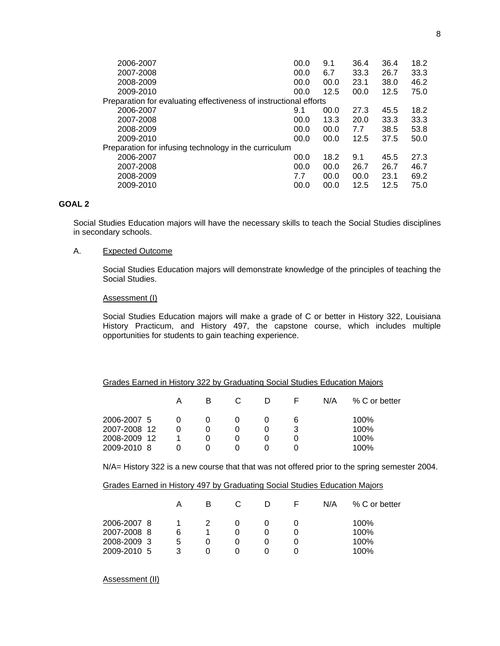| 2006-2007                                                         | 00.0 | 9.1  | 36.4 | 36.4 | 18.2 |
|-------------------------------------------------------------------|------|------|------|------|------|
| 2007-2008                                                         | 00.0 | 6.7  | 33.3 | 26.7 | 33.3 |
| 2008-2009                                                         | 00.0 | 00.0 | 23.1 | 38.0 | 46.2 |
| 2009-2010                                                         | 00.0 | 12.5 | 00.0 | 12.5 | 75.0 |
| Preparation for evaluating effectiveness of instructional efforts |      |      |      |      |      |
| 2006-2007                                                         | 9.1  | 00.0 | 27.3 | 45.5 | 18.2 |
| 2007-2008                                                         | 00.0 | 13.3 | 20.0 | 33.3 | 33.3 |
| 2008-2009                                                         | 00.0 | 00.0 | 7.7  | 38.5 | 53.8 |
| 2009-2010                                                         | 00.0 | 00.0 | 12.5 | 37.5 | 50.0 |
| Preparation for infusing technology in the curriculum             |      |      |      |      |      |
| 2006-2007                                                         | 00.0 | 18.2 | 9.1  | 45.5 | 27.3 |
| 2007-2008                                                         | 00.0 | 00.0 | 26.7 | 26.7 | 46.7 |
| 2008-2009                                                         | 7.7  | 00.0 | 00.0 | 23.1 | 69.2 |
| 2009-2010                                                         | 00.0 | 00.0 | 12.5 | 12.5 | 75.0 |
|                                                                   |      |      |      |      |      |

## **GOAL 2**

Social Studies Education majors will have the necessary skills to teach the Social Studies disciplines in secondary schools.

## A. Expected Outcome

Social Studies Education majors will demonstrate knowledge of the principles of teaching the Social Studies.

#### Assessment (I)

Social Studies Education majors will make a grade of C or better in History 322, Louisiana History Practicum, and History 497, the capstone course, which includes multiple opportunities for students to gain teaching experience.

#### Grades Earned in History 322 by Graduating Social Studies Education Majors

|              | А | в |  |   | N/A | % C or better |
|--------------|---|---|--|---|-----|---------------|
| 2006-2007 5  |   |   |  | 6 |     | 100%          |
| 2007-2008 12 |   |   |  |   |     | 100%          |
| 2008-2009 12 |   |   |  |   |     | 100%          |
| 2009-2010 8  |   |   |  |   |     | 100%          |

N/A= History 322 is a new course that that was not offered prior to the spring semester 2004.

|--|

|             |   | в |  | N/A | % C or better |
|-------------|---|---|--|-----|---------------|
| 2006-2007 8 |   |   |  |     | 100%          |
| 2007-2008 8 | 6 |   |  |     | 100%          |
| 2008-2009 3 | 5 |   |  |     | 100%          |
| 2009-2010 5 | 3 |   |  |     | 100%          |
|             |   |   |  |     |               |

Assessment (II)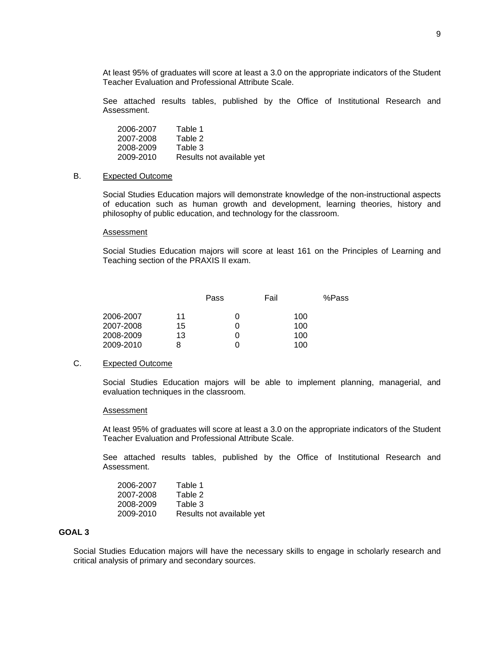At least 95% of graduates will score at least a 3.0 on the appropriate indicators of the Student Teacher Evaluation and Professional Attribute Scale.

See attached results tables, published by the Office of Institutional Research and Assessment.

 2006-2007 Table 1 2007-2008 Table 2 2008-2009 2009-2010 Results not available yet

## B. Expected Outcome

Social Studies Education majors will demonstrate knowledge of the non-instructional aspects of education such as human growth and development, learning theories, history and philosophy of public education, and technology for the classroom.

#### Assessment

Social Studies Education majors will score at least 161 on the Principles of Learning and Teaching section of the PRAXIS II exam.

|           |    | Pass | Fail | %Pass |
|-----------|----|------|------|-------|
| 2006-2007 | 11 |      | 100  |       |
| 2007-2008 | 15 |      | 100  |       |
| 2008-2009 | 13 |      | 100  |       |
| 2009-2010 | 8  |      | 100  |       |

### C. Expected Outcome

Social Studies Education majors will be able to implement planning, managerial, and evaluation techniques in the classroom.

#### Assessment

At least 95% of graduates will score at least a 3.0 on the appropriate indicators of the Student Teacher Evaluation and Professional Attribute Scale.

See attached results tables, published by the Office of Institutional Research and Assessment.

| 2006-2007 | Table 1                   |
|-----------|---------------------------|
| 2007-2008 | Table 2                   |
| 2008-2009 | Table 3                   |
| 2009-2010 | Results not available yet |

## **GOAL 3**

Social Studies Education majors will have the necessary skills to engage in scholarly research and critical analysis of primary and secondary sources.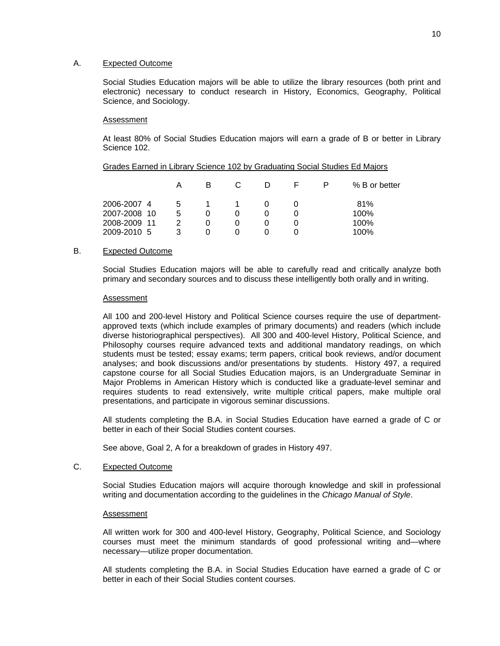## A. Expected Outcome

Social Studies Education majors will be able to utilize the library resources (both print and electronic) necessary to conduct research in History, Economics, Geography, Political Science, and Sociology.

#### Assessment

At least 80% of Social Studies Education majors will earn a grade of B or better in Library Science 102.

|                             |        | B |  |   | % B or better |
|-----------------------------|--------|---|--|---|---------------|
| 2006-2007 4<br>2007-2008 10 | b<br>5 |   |  |   | 81%<br>100%   |
| 2008-2009 11                | 2      | O |  | 0 | 100%          |
| 2009-2010 5                 | 3      |   |  |   | 100%          |

## Grades Earned in Library Science 102 by Graduating Social Studies Ed Majors

## B. Expected Outcome

Social Studies Education majors will be able to carefully read and critically analyze both primary and secondary sources and to discuss these intelligently both orally and in writing.

#### Assessment

All 100 and 200-level History and Political Science courses require the use of departmentapproved texts (which include examples of primary documents) and readers (which include diverse historiographical perspectives). All 300 and 400-level History, Political Science, and Philosophy courses require advanced texts and additional mandatory readings, on which students must be tested; essay exams; term papers, critical book reviews, and/or document analyses; and book discussions and/or presentations by students. History 497, a required capstone course for all Social Studies Education majors, is an Undergraduate Seminar in Major Problems in American History which is conducted like a graduate-level seminar and requires students to read extensively, write multiple critical papers, make multiple oral presentations, and participate in vigorous seminar discussions.

All students completing the B.A. in Social Studies Education have earned a grade of C or better in each of their Social Studies content courses.

See above, Goal 2, A for a breakdown of grades in History 497.

#### C. Expected Outcome

Social Studies Education majors will acquire thorough knowledge and skill in professional writing and documentation according to the guidelines in the *Chicago Manual of Style*.

#### Assessment

All written work for 300 and 400-level History, Geography, Political Science, and Sociology courses must meet the minimum standards of good professional writing and—where necessary—utilize proper documentation.

All students completing the B.A. in Social Studies Education have earned a grade of C or better in each of their Social Studies content courses.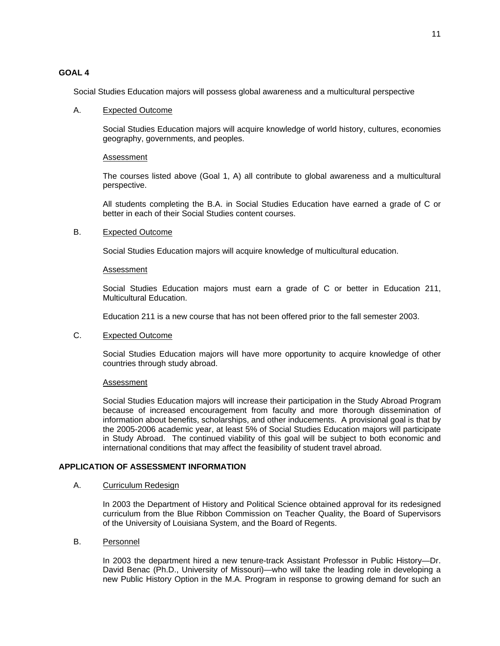## **GOAL 4**

Social Studies Education majors will possess global awareness and a multicultural perspective

#### A. Expected Outcome

Social Studies Education majors will acquire knowledge of world history, cultures, economies geography, governments, and peoples.

#### Assessment

The courses listed above (Goal 1, A) all contribute to global awareness and a multicultural perspective.

All students completing the B.A. in Social Studies Education have earned a grade of C or better in each of their Social Studies content courses.

#### B. Expected Outcome

Social Studies Education majors will acquire knowledge of multicultural education.

#### Assessment

Social Studies Education majors must earn a grade of C or better in Education 211, Multicultural Education.

Education 211 is a new course that has not been offered prior to the fall semester 2003.

## C. Expected Outcome

Social Studies Education majors will have more opportunity to acquire knowledge of other countries through study abroad.

## Assessment

Social Studies Education majors will increase their participation in the Study Abroad Program because of increased encouragement from faculty and more thorough dissemination of information about benefits, scholarships, and other inducements. A provisional goal is that by the 2005-2006 academic year, at least 5% of Social Studies Education majors will participate in Study Abroad. The continued viability of this goal will be subject to both economic and international conditions that may affect the feasibility of student travel abroad.

## **APPLICATION OF ASSESSMENT INFORMATION**

#### A. Curriculum Redesign

In 2003 the Department of History and Political Science obtained approval for its redesigned curriculum from the Blue Ribbon Commission on Teacher Quality, the Board of Supervisors of the University of Louisiana System, and the Board of Regents.

## B. Personnel

In 2003 the department hired a new tenure-track Assistant Professor in Public History—Dr. David Benac (Ph.D., University of Missouri)—who will take the leading role in developing a new Public History Option in the M.A. Program in response to growing demand for such an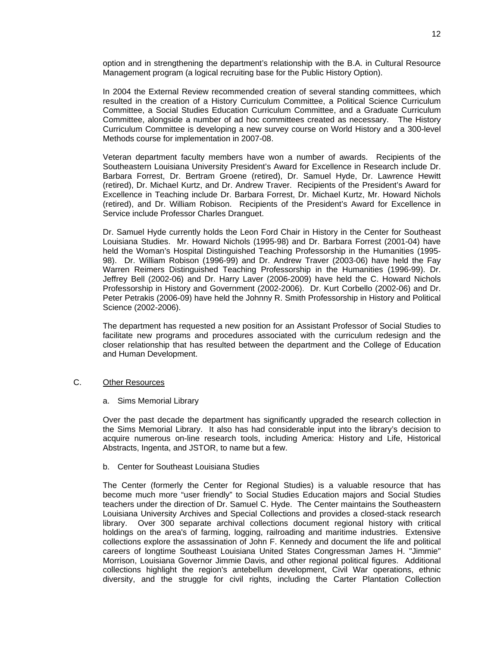option and in strengthening the department's relationship with the B.A. in Cultural Resource Management program (a logical recruiting base for the Public History Option).

In 2004 the External Review recommended creation of several standing committees, which resulted in the creation of a History Curriculum Committee, a Political Science Curriculum Committee, a Social Studies Education Curriculum Committee, and a Graduate Curriculum Committee, alongside a number of ad hoc committees created as necessary. The History Curriculum Committee is developing a new survey course on World History and a 300-level Methods course for implementation in 2007-08.

Veteran department faculty members have won a number of awards. Recipients of the Southeastern Louisiana University President's Award for Excellence in Research include Dr. Barbara Forrest, Dr. Bertram Groene (retired), Dr. Samuel Hyde, Dr. Lawrence Hewitt (retired), Dr. Michael Kurtz, and Dr. Andrew Traver. Recipients of the President's Award for Excellence in Teaching include Dr. Barbara Forrest, Dr. Michael Kurtz, Mr. Howard Nichols (retired), and Dr. William Robison. Recipients of the President's Award for Excellence in Service include Professor Charles Dranguet.

Dr. Samuel Hyde currently holds the Leon Ford Chair in History in the Center for Southeast Louisiana Studies. Mr. Howard Nichols (1995-98) and Dr. Barbara Forrest (2001-04) have held the Woman's Hospital Distinguished Teaching Professorship in the Humanities (1995- 98). Dr. William Robison (1996-99) and Dr. Andrew Traver (2003-06) have held the Fay Warren Reimers Distinguished Teaching Professorship in the Humanities (1996-99). Dr. Jeffrey Bell (2002-06) and Dr. Harry Laver (2006-2009) have held the C. Howard Nichols Professorship in History and Government (2002-2006). Dr. Kurt Corbello (2002-06) and Dr. Peter Petrakis (2006-09) have held the Johnny R. Smith Professorship in History and Political Science (2002-2006).

The department has requested a new position for an Assistant Professor of Social Studies to facilitate new programs and procedures associated with the curriculum redesign and the closer relationship that has resulted between the department and the College of Education and Human Development.

### C. Other Resources

a. Sims Memorial Library

Over the past decade the department has significantly upgraded the research collection in the Sims Memorial Library. It also has had considerable input into the library's decision to acquire numerous on-line research tools, including America: History and Life, Historical Abstracts, Ingenta, and JSTOR, to name but a few.

#### b. Center for Southeast Louisiana Studies

The Center (formerly the Center for Regional Studies) is a valuable resource that has become much more "user friendly" to Social Studies Education majors and Social Studies teachers under the direction of Dr. Samuel C. Hyde. The Center maintains the Southeastern Louisiana University Archives and Special Collections and provides a closed-stack research library. Over 300 separate archival collections document regional history with critical holdings on the area's of farming, logging, railroading and maritime industries. Extensive collections explore the assassination of John F. Kennedy and document the life and political careers of longtime Southeast Louisiana United States Congressman James H. "Jimmie" Morrison, Louisiana Governor Jimmie Davis, and other regional political figures. Additional collections highlight the region's antebellum development, Civil War operations, ethnic diversity, and the struggle for civil rights, including the Carter Plantation Collection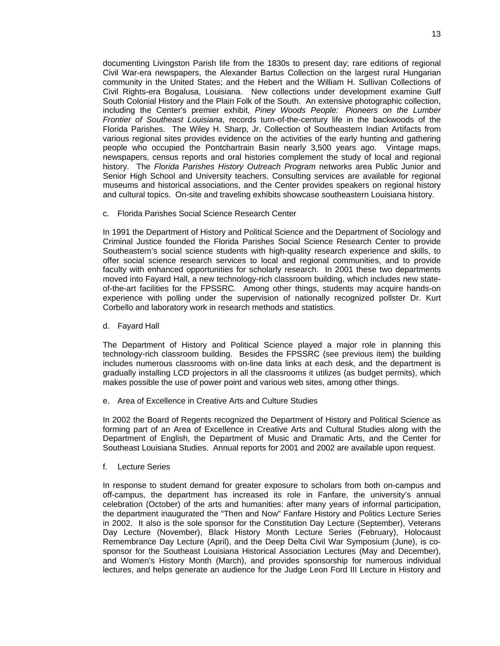documenting Livingston Parish life from the 1830s to present day; rare editions of regional Civil War-era newspapers, the Alexander Bartus Collection on the largest rural Hungarian community in the United States; and the Hebert and the William H. Sullivan Collections of Civil Rights-era Bogalusa, Louisiana. New collections under development examine Gulf South Colonial History and the Plain Folk of the South. An extensive photographic collection, including the Center's premier exhibit, *Piney Woods People: Pioneers on the Lumber Frontier of Southeast Louisiana*, records turn-of-the-century life in the backwoods of the Florida Parishes. The Wiley H. Sharp, Jr. Collection of Southeastern Indian Artifacts from various regional sites provides evidence on the activities of the early hunting and gathering people who occupied the Pontchartrain Basin nearly 3,500 years ago. Vintage maps, newspapers, census reports and oral histories complement the study of local and regional history. The *Florida Parishes History Outreach Program* networks area Public Junior and Senior High School and University teachers. Consulting services are available for regional museums and historical associations, and the Center provides speakers on regional history and cultural topics. On-site and traveling exhibits showcase southeastern Louisiana history.

c. Florida Parishes Social Science Research Center

In 1991 the Department of History and Political Science and the Department of Sociology and Criminal Justice founded the Florida Parishes Social Science Research Center to provide Southeastern's social science students with high-quality research experience and skills, to offer social science research services to local and regional communities, and to provide faculty with enhanced opportunities for scholarly research. In 2001 these two departments moved into Fayard Hall, a new technology-rich classroom building, which includes new stateof-the-art facilities for the FPSSRC. Among other things, students may acquire hands-on experience with polling under the supervision of nationally recognized pollster Dr. Kurt Corbello and laboratory work in research methods and statistics.

d. Fayard Hall

The Department of History and Political Science played a major role in planning this technology-rich classroom building. Besides the FPSSRC (see previous item) the building includes numerous classrooms with on-line data links at each desk, and the department is gradually installing LCD projectors in all the classrooms it utilizes (as budget permits), which makes possible the use of power point and various web sites, among other things.

e. Area of Excellence in Creative Arts and Culture Studies

In 2002 the Board of Regents recognized the Department of History and Political Science as forming part of an Area of Excellence in Creative Arts and Cultural Studies along with the Department of English, the Department of Music and Dramatic Arts, and the Center for Southeast Louisiana Studies. Annual reports for 2001 and 2002 are available upon request.

f. Lecture Series

In response to student demand for greater exposure to scholars from both on-campus and off-campus, the department has increased its role in Fanfare, the university's annual celebration (October) of the arts and humanities: after many years of informal participation, the department inaugurated the "Then and Now" Fanfare History and Politics Lecture Series in 2002. It also is the sole sponsor for the Constitution Day Lecture (September), Veterans Day Lecture (November), Black History Month Lecture Series (February), Holocaust Remembrance Day Lecture (April), and the Deep Delta Civil War Symposium (June), is cosponsor for the Southeast Louisiana Historical Association Lectures (May and December), and Women's History Month (March), and provides sponsorship for numerous individual lectures, and helps generate an audience for the Judge Leon Ford III Lecture in History and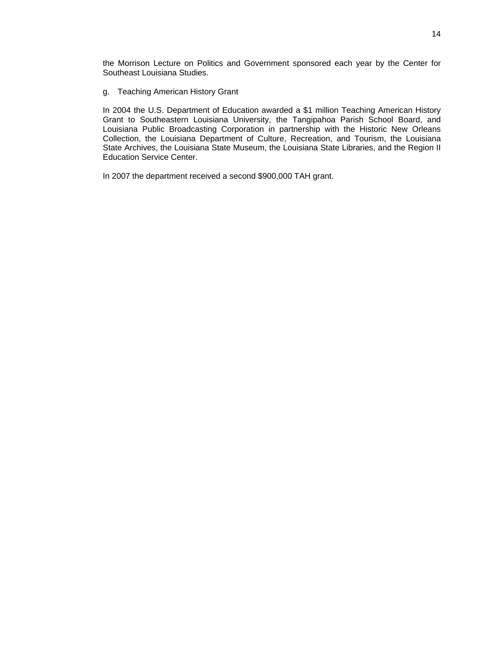the Morrison Lecture on Politics and Government sponsored each year by the Center for Southeast Louisiana Studies.

g. Teaching American History Grant

In 2004 the U.S. Department of Education awarded a \$1 million Teaching American History Grant to Southeastern Louisiana University, the Tangipahoa Parish School Board, and Louisiana Public Broadcasting Corporation in partnership with the Historic New Orleans Collection, the Louisiana Department of Culture, Recreation, and Tourism, the Louisiana State Archives, the Louisiana State Museum, the Louisiana State Libraries, and the Region II Education Service Center.

In 2007 the department received a second \$900,000 TAH grant.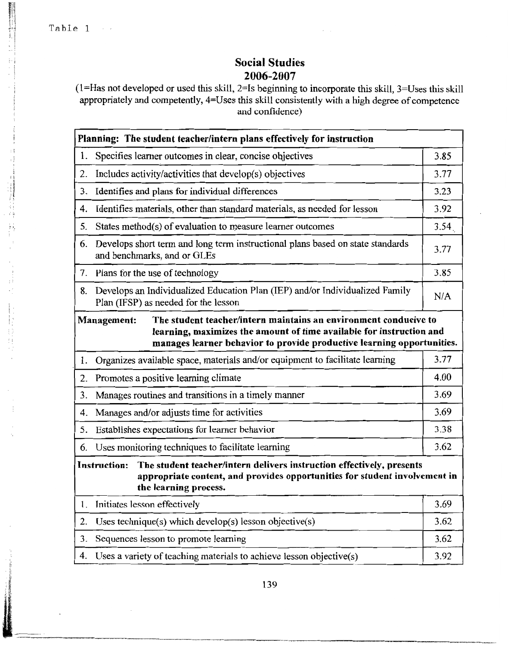Table 1

 $\label{eq:2.1} \begin{array}{ll} \mathcal{H}_{\mathrm{c}} & \mathcal{H}_{\mathrm{c}} & \mathcal{H}_{\mathrm{c}} \\ \mathcal{H}_{\mathrm{c}} & \mathcal{H}_{\mathrm{c}} & \mathcal{H}_{\mathrm{c}} \\ \mathcal{H}_{\mathrm{c}} & \mathcal{H}_{\mathrm{c}} & \mathcal{H}_{\mathrm{c}} \\ \mathcal{H}_{\mathrm{c}} & \mathcal{H}_{\mathrm{c}} & \mathcal{H}_{\mathrm{c}} & \mathcal{H}_{\mathrm{c}} \\ \mathcal{H}_{\mathrm{c}} & \mathcal{H}_{\mathrm{c}} & \mathcal{H}_{\mathrm{c}} & \mathcal{H}_{\mathrm{c}} \\$ 

÷.

in man

# **Social Studies** 2006-2007

 $\hat{z} = \hat{z}$ 

 $(1=$ Has not developed or used this skill, 2=Is beginning to incorporate this skill, 3=Uses this skill appropriately and competently, 4=Uses this skill consistently with a high degree of competence and confidence)

|                                                                                                                                                                                                     | Planning: The student teacher/intern plans effectively for instruction                                                                                                                                                            |      |  |  |  |
|-----------------------------------------------------------------------------------------------------------------------------------------------------------------------------------------------------|-----------------------------------------------------------------------------------------------------------------------------------------------------------------------------------------------------------------------------------|------|--|--|--|
| 1.                                                                                                                                                                                                  | Specifies learner outcomes in clear, concise objectives                                                                                                                                                                           | 3.85 |  |  |  |
| 2.                                                                                                                                                                                                  | Includes activity/activities that develop(s) objectives                                                                                                                                                                           | 3.77 |  |  |  |
| 3.                                                                                                                                                                                                  | Identifies and plans for individual differences                                                                                                                                                                                   | 3.23 |  |  |  |
| 4.                                                                                                                                                                                                  | Identifies materials, other than standard materials, as needed for lesson                                                                                                                                                         | 3.92 |  |  |  |
| 5.                                                                                                                                                                                                  | States method(s) of evaluation to measure learner outcomes                                                                                                                                                                        | 3.54 |  |  |  |
| 6.                                                                                                                                                                                                  | Develops short term and long term instructional plans based on state standards<br>and benchmarks, and or GLEs                                                                                                                     | 3.77 |  |  |  |
| 7.                                                                                                                                                                                                  | Plans for the use of technology                                                                                                                                                                                                   | 3.85 |  |  |  |
| 8.                                                                                                                                                                                                  | Develops an Individualized Education Plan (IEP) and/or Individualized Family<br>Plan (IFSP) as needed for the lesson                                                                                                              | N/A  |  |  |  |
|                                                                                                                                                                                                     | The student teacher/intern maintains an environment conducive to<br>Management:<br>learning, maximizes the amount of time available for instruction and<br>manages learner behavior to provide productive learning opportunities. |      |  |  |  |
| 1.                                                                                                                                                                                                  | Organizes available space, materials and/or equipment to facilitate learning                                                                                                                                                      | 3.77 |  |  |  |
| 2.                                                                                                                                                                                                  | Promotes a positive learning climate                                                                                                                                                                                              | 4.00 |  |  |  |
| 3.                                                                                                                                                                                                  | Manages routines and transitions in a timely manner                                                                                                                                                                               | 3.69 |  |  |  |
| 4.                                                                                                                                                                                                  | Manages and/or adjusts time for activities                                                                                                                                                                                        | 3.69 |  |  |  |
| 5.                                                                                                                                                                                                  | Establishes expectations for learner behavior                                                                                                                                                                                     | 3.38 |  |  |  |
| 6.                                                                                                                                                                                                  | Uses monitoring techniques to facilitate learning                                                                                                                                                                                 | 3.62 |  |  |  |
| The student teacher/intern delivers instruction effectively, presents<br><b>Instruction:</b><br>appropriate content, and provides opportunities for student involvement in<br>the learning process. |                                                                                                                                                                                                                                   |      |  |  |  |
| l.                                                                                                                                                                                                  | Initiates lesson effectively                                                                                                                                                                                                      | 3.69 |  |  |  |
| 2.                                                                                                                                                                                                  | Uses technique(s) which develop(s) lesson objective(s)                                                                                                                                                                            | 3.62 |  |  |  |
| 3.                                                                                                                                                                                                  | Sequences lesson to promote learning                                                                                                                                                                                              | 3.62 |  |  |  |
| 4.                                                                                                                                                                                                  | Uses a variety of teaching materials to achieve lesson objective(s)                                                                                                                                                               | 3.92 |  |  |  |

139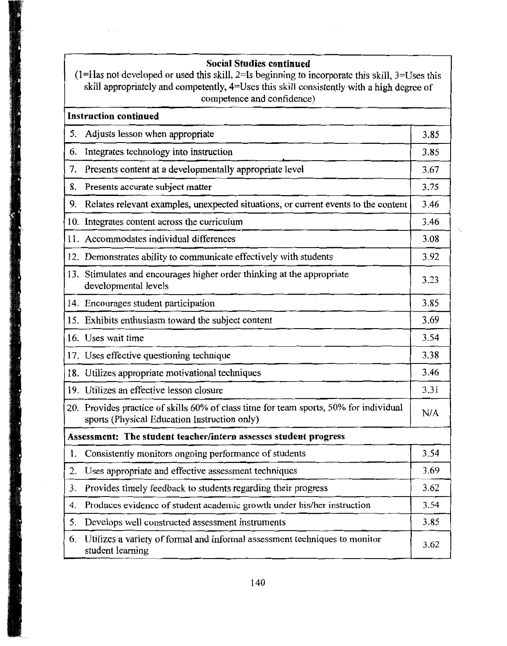|    | <b>Social Studies continued</b><br>$(1 = Ha$ s not developed or used this skill, $2 = Is$ beginning to incorporate this skill, $3 = Us$ es this<br>skill appropriately and competently, 4=Uses this skill consistently with a high degree of<br>competence and confidence) |      |  |  |  |
|----|----------------------------------------------------------------------------------------------------------------------------------------------------------------------------------------------------------------------------------------------------------------------------|------|--|--|--|
|    | <b>Instruction continued</b>                                                                                                                                                                                                                                               |      |  |  |  |
| 5. | Adjusts lesson when appropriate                                                                                                                                                                                                                                            | 3.85 |  |  |  |
| 6. | Integrates technology into instruction                                                                                                                                                                                                                                     | 3.85 |  |  |  |
| 7. | Presents content at a developmentally appropriate level                                                                                                                                                                                                                    | 3.67 |  |  |  |
| 8. | Presents accurate subject matter                                                                                                                                                                                                                                           | 3.75 |  |  |  |
|    | 9. Relates relevant examples, unexpected situations, or current events to the content                                                                                                                                                                                      | 3.46 |  |  |  |
|    | 10. Integrates content across the curriculum                                                                                                                                                                                                                               | 3.46 |  |  |  |
|    | 11. Accommodates individual differences                                                                                                                                                                                                                                    | 3.08 |  |  |  |
|    | 12. Demonstrates ability to communicate effectively with students                                                                                                                                                                                                          | 3.92 |  |  |  |
|    | 13. Stimulates and encourages higher order thinking at the appropriate<br>developmental levels                                                                                                                                                                             | 3.23 |  |  |  |
|    | 14. Encourages student participation                                                                                                                                                                                                                                       | 3.85 |  |  |  |
|    | 15. Exhibits enthusiasm toward the subject content                                                                                                                                                                                                                         | 3.69 |  |  |  |
|    | 16. Uses wait time                                                                                                                                                                                                                                                         | 3.54 |  |  |  |
|    | 17. Uses effective questioning technique                                                                                                                                                                                                                                   | 3.38 |  |  |  |
|    | 18. Utilizes appropriate motivational techniques                                                                                                                                                                                                                           | 3.46 |  |  |  |
|    | 19. Utilizes an effective lesson closure                                                                                                                                                                                                                                   | 3.31 |  |  |  |
|    | 20. Provides practice of skills 60% of class time for team sports, 50% for individual<br>sports (Physical Education Instruction only)                                                                                                                                      | N/A  |  |  |  |
|    | Assessment: The student teacher/intern assesses student progress                                                                                                                                                                                                           |      |  |  |  |
|    | 1. Consistently monitors ongoing performance of students                                                                                                                                                                                                                   | 3.54 |  |  |  |
| 2. | Uses appropriate and effective assessment techniques                                                                                                                                                                                                                       | 3.69 |  |  |  |
| 3. | Provides timely feedback to students regarding their progress                                                                                                                                                                                                              | 3.62 |  |  |  |
| 4. | Produces evidence of student academic growth under his/her instruction                                                                                                                                                                                                     | 3.54 |  |  |  |
| 5. | Develops well constructed assessment instruments                                                                                                                                                                                                                           | 3.85 |  |  |  |
| 6. | Utilizes a variety of formal and informal assessment techniques to monitor<br>student learning                                                                                                                                                                             | 3.62 |  |  |  |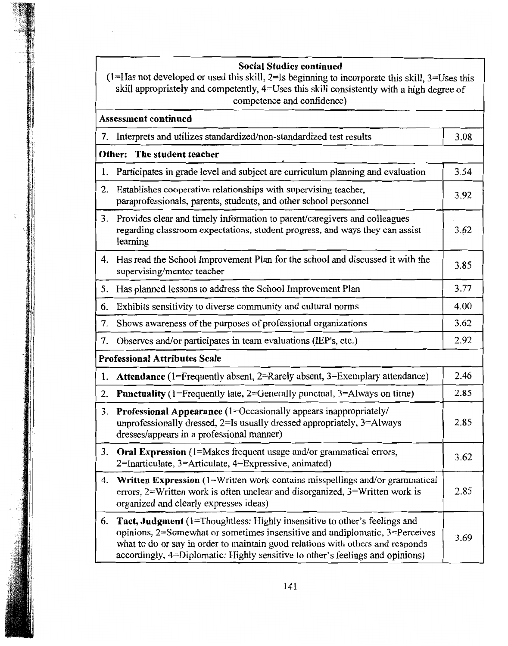**Social Studies continued** 

| $(1=$ Has not developed or used this skill, $2=$ Is beginning to incorporate this skill, $3=$ Uses this |
|---------------------------------------------------------------------------------------------------------|
| skill appropriately and competently, $4 =$ Uses this skill consistently with a high degree of           |
| competence and confidence)                                                                              |

|    | Assessment continued                                                                                                                                                                                                                                                                                                               |      |  |  |  |
|----|------------------------------------------------------------------------------------------------------------------------------------------------------------------------------------------------------------------------------------------------------------------------------------------------------------------------------------|------|--|--|--|
| 7. | Interprets and utilizes standardized/non-standardized test results                                                                                                                                                                                                                                                                 | 3.08 |  |  |  |
|    | Other: The student teacher                                                                                                                                                                                                                                                                                                         |      |  |  |  |
| 1. | Participates in grade level and subject are curriculum planning and evaluation                                                                                                                                                                                                                                                     | 3.54 |  |  |  |
| 2. | Establishes cooperative relationships with supervising teacher,<br>paraprofessionals, parents, students, and other school personnel                                                                                                                                                                                                | 3.92 |  |  |  |
| 3. | Provides clear and timely information to parent/caregivers and colleagues<br>regarding classroom expectations, student progress, and ways they can assist<br>learning                                                                                                                                                              | 3.62 |  |  |  |
|    | 4. Has read the School Improvement Plan for the school and discussed it with the<br>supervising/mentor teacher                                                                                                                                                                                                                     | 3.85 |  |  |  |
|    | 5. Has planned lessons to address the School Improvement Plan                                                                                                                                                                                                                                                                      | 3.77 |  |  |  |
| 6. | Exhibits sensitivity to diverse community and cultural norms                                                                                                                                                                                                                                                                       | 4.00 |  |  |  |
| 7. | Shows awareness of the purposes of professional organizations                                                                                                                                                                                                                                                                      | 3.62 |  |  |  |
| 7. | Observes and/or participates in team evaluations (IEP's, etc.)                                                                                                                                                                                                                                                                     | 2.92 |  |  |  |
|    | <b>Professional Attributes Scale</b>                                                                                                                                                                                                                                                                                               |      |  |  |  |
| 1. | <b>Attendance</b> (1=Frequently absent, 2=Rarely absent, 3=Exemplary attendance)                                                                                                                                                                                                                                                   | 2.46 |  |  |  |
| 2. | <b>Punctuality</b> (1=Frequently late, 2=Generally punctual, 3=Always on time)                                                                                                                                                                                                                                                     | 2.85 |  |  |  |
|    | 3. Professional Appearance (1=Occasionally appears inappropriately/<br>unprofessionally dressed, $2 = Is$ usually dressed appropriately, $3 = Always$<br>dresses/appears in a professional manner)                                                                                                                                 | 2.85 |  |  |  |
|    | 3. Oral Expression (1=Makes frequent usage and/or grammatical errors,<br>2=Inarticulate, 3=Articulate, 4=Expressive, animated)                                                                                                                                                                                                     | 3.62 |  |  |  |
|    | 4. Written Expression (1=Written work contains misspellings and/or grammatical<br>errors, 2=Written work is often unclear and disorganized, 3=Written work is<br>organized and clearly expresses ideas)                                                                                                                            | 2.85 |  |  |  |
| 6. | <b>Tact, Judgment</b> (1=Thoughtless: Highly insensitive to other's feelings and<br>opinions, 2=Somewhat or sometimes insensitive and undiplomatic, 3=Perceives<br>what to do or say in order to maintain good relations with others and responds<br>accordingly, 4=Diplomatic: Highly sensitive to other's feelings and opinions) | 3.69 |  |  |  |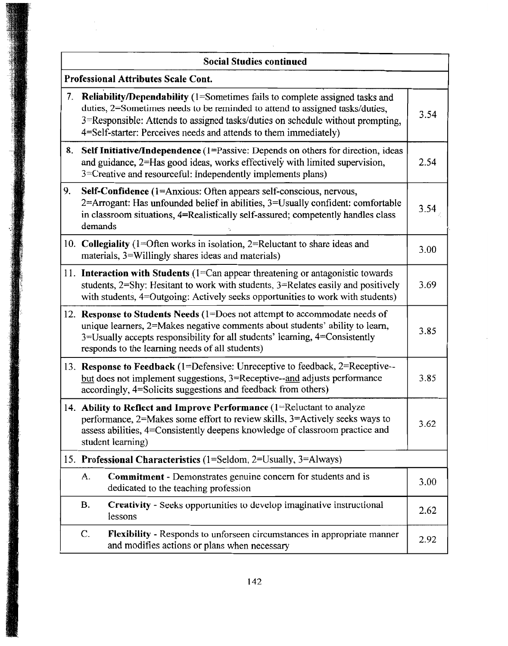|    | <b>Social Studies continued</b>                                                                                                                                                                                                                                                                                      |      |  |
|----|----------------------------------------------------------------------------------------------------------------------------------------------------------------------------------------------------------------------------------------------------------------------------------------------------------------------|------|--|
|    | <b>Professional Attributes Scale Cont.</b>                                                                                                                                                                                                                                                                           |      |  |
|    | 7. Reliability/Dependability (1=Sometimes fails to complete assigned tasks and<br>duties, 2=Sometimes needs to be reminded to attend to assigned tasks/duties,<br>3=Responsible: Attends to assigned tasks/duties on schedule without prompting,<br>4=Self-starter: Perceives needs and attends to them immediately) | 3.54 |  |
|    | 8. Self Initiative/Independence (1=Passive: Depends on others for direction, ideas<br>and guidance, 2=Has good ideas, works effectively with limited supervision,<br>3=Creative and resourceful: Independently implements plans)                                                                                     | 2.54 |  |
| 9. | Self-Confidence (1=Anxious: Often appears self-conscious, nervous,<br>2=Arrogant: Has unfounded belief in abilities, 3=Usually confident: comfortable<br>in classroom situations, 4=Realistically self-assured; competently handles class<br>demands                                                                 | 3.54 |  |
|    | 10. Collegiality (1=Often works in isolation, $2$ =Reluctant to share ideas and<br>materials, 3=Willingly shares ideas and materials)                                                                                                                                                                                | 3.00 |  |
|    | 11. Interaction with Students (1=Can appear threatening or antagonistic towards)<br>students, 2=Shy: Hesitant to work with students, 3=Relates easily and positively<br>with students, 4=Outgoing: Actively seeks opportunities to work with students)                                                               | 3.69 |  |
|    | 12. Response to Students Needs (1=Does not attempt to accommodate needs of<br>unique learners, 2=Makes negative comments about students' ability to learn,<br>3=Usually accepts responsibility for all students' learning, 4=Consistently<br>responds to the learning needs of all students)                         | 3.85 |  |
|    | 13. Response to Feedback (1=Defensive: Unreceptive to feedback, 2=Receptive--<br>but does not implement suggestions, $3 =$ Receptive--and adjusts performance<br>accordingly, 4=Solicits suggestions and feedback from others)                                                                                       | 3.85 |  |
|    | 14. Ability to Reflect and Improve Performance (1=Reluctant to analyze<br>performance, 2=Makes some effort to review skills, 3=Actively seeks ways to<br>assess abilities, 4=Consistently deepens knowledge of classroom practice and<br>student learning)                                                           | 3.62 |  |
|    | 15. Professional Characteristics (1=Seldom, 2=Usually, 3=Always)                                                                                                                                                                                                                                                     |      |  |
|    | <b>Commitment</b> - Demonstrates genuine concern for students and is<br>A.<br>dedicated to the teaching profession                                                                                                                                                                                                   | 3.00 |  |
|    | Creativity - Seeks opportunities to develop imaginative instructional<br><b>B.</b><br>lessons                                                                                                                                                                                                                        | 2.62 |  |
|    | Flexibility - Responds to unforseen circumstances in appropriate manner<br>$\mathcal{C}$ .<br>and modifies actions or plans when necessary                                                                                                                                                                           | 2.92 |  |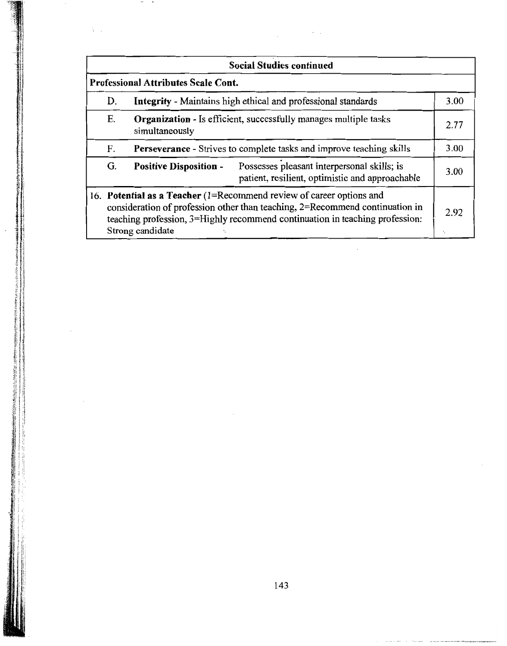|    |                                            | <b>Social Studies continued</b>                                                                                                                                                                                                           |            |
|----|--------------------------------------------|-------------------------------------------------------------------------------------------------------------------------------------------------------------------------------------------------------------------------------------------|------------|
|    | <b>Professional Attributes Scale Cont.</b> |                                                                                                                                                                                                                                           |            |
| D. |                                            | <b>Integrity</b> - Maintains high ethical and professional standards                                                                                                                                                                      | 3.00       |
| Е. | simultaneously                             | Organization - Is efficient, successfully manages multiple tasks                                                                                                                                                                          | 2.77       |
| F. |                                            | Perseverance - Strives to complete tasks and improve teaching skills                                                                                                                                                                      | 3.00       |
| G. | <b>Positive Disposition -</b>              | Possesses pleasant interpersonal skills; is<br>patient, resilient, optimistic and approachable                                                                                                                                            | 3.00       |
|    | Strong candidate                           | 16. Potential as a Teacher $(1=Recommend$ review of career options and<br>consideration of profession other than teaching, $2$ =Recommend continuation in<br>teaching profession, 3=Highly recommend continuation in teaching profession: | 2.92<br>٠. |

l,

 $\epsilon$  ).

**HR** .

 $\frac{1}{4}$  .  $\frac{1}{2}$ 

中国の東京の大学生 しゅうかい いちかい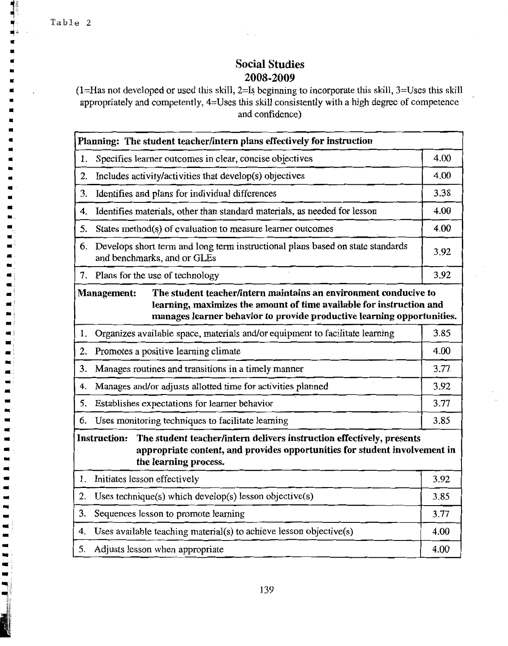$\blacksquare$  $\blacksquare$ i.

 $\blacksquare$  $\blacksquare$  $\blacksquare$  $\blacksquare$  $\blacksquare$  $\blacksquare$  $\blacksquare$  $\blacksquare$ 

 $\blacksquare$  $\blacksquare$  $\blacksquare$ 

 $\blacksquare$ **HE** 

■  $\blacksquare$  $\blacksquare$  $\blacksquare$  $\overline{a}$ 

# **Social Studies** 2008-2009

(1=Has not developed or used this skill, 2=Is beginning to incorporate this skill, 3=Uses this skill appropriately and competently, 4=Uses this skill consistently with a high degree of competence and confidence)

|    | Planning: The student teacher/intern plans effectively for instruction                                                                                                                                                                   |      |  |  |  |
|----|------------------------------------------------------------------------------------------------------------------------------------------------------------------------------------------------------------------------------------------|------|--|--|--|
| 1. | Specifies learner outcomes in clear, concise objectives                                                                                                                                                                                  | 4.00 |  |  |  |
| 2. | Includes activity/activities that develop(s) objectives                                                                                                                                                                                  | 4.00 |  |  |  |
| 3. | Identifies and plans for individual differences                                                                                                                                                                                          | 3.38 |  |  |  |
| 4. | Identifies materials, other than standard materials, as needed for lesson                                                                                                                                                                | 4.00 |  |  |  |
| 5. | States method(s) of evaluation to measure learner outcomes                                                                                                                                                                               | 4.00 |  |  |  |
| 6. | Develops short term and long term instructional plans based on state standards<br>and benchmarks, and or GLEs                                                                                                                            | 3.92 |  |  |  |
|    | 7. Plans for the use of technology                                                                                                                                                                                                       | 3.92 |  |  |  |
|    | The student teacher/intern maintains an environment conducive to<br><b>Management:</b><br>learning, maximizes the amount of time available for instruction and<br>manages learner behavior to provide productive learning opportunities. |      |  |  |  |
| 1. | Organizes available space, materials and/or equipment to facilitate learning                                                                                                                                                             | 3.85 |  |  |  |
| 2. | Promotes a positive learning climate                                                                                                                                                                                                     | 4.00 |  |  |  |
| 3. | Manages routines and transitions in a timely manner                                                                                                                                                                                      | 3.77 |  |  |  |
| 4. | Manages and/or adjusts allotted time for activities planned                                                                                                                                                                              | 3.92 |  |  |  |
| 5. | Establishes expectations for learner behavior                                                                                                                                                                                            | 3.77 |  |  |  |
| 6. | Uses monitoring techniques to facilitate learning                                                                                                                                                                                        | 3.85 |  |  |  |
|    | <b>Instruction:</b><br>The student teacher/intern delivers instruction effectively, presents<br>appropriate content, and provides opportunities for student involvement in<br>the learning process.                                      |      |  |  |  |
| 1. | Initiates lesson effectively                                                                                                                                                                                                             | 3.92 |  |  |  |
| 2. | Uses technique(s) which develop(s) lesson objective(s)                                                                                                                                                                                   | 3.85 |  |  |  |
| 3. | Sequences lesson to promote learning                                                                                                                                                                                                     | 3.77 |  |  |  |
| 4. | Uses available teaching material(s) to achieve lesson objective(s)                                                                                                                                                                       | 4.00 |  |  |  |
| 5. | Adjusts lesson when appropriate                                                                                                                                                                                                          | 4.00 |  |  |  |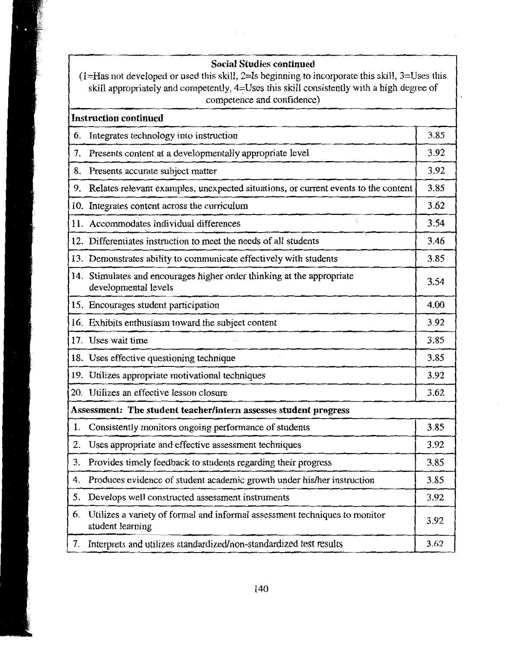## **Social Studies continued**

(1=Has not developed or used this skill, 2=Is beginning to incorporate this skill,  $3=$ Uses this skill appropriately and competently, 4=Uses this skill consistently with a high degree of competence and confidence)

|    | <b>Instruction continued</b>                                                                   |      |
|----|------------------------------------------------------------------------------------------------|------|
| 6. | Integrates technology into instruction                                                         | 3.85 |
| 7. | Presents content at a developmentally appropriate level                                        | 3.92 |
| 8. | Presents accurate subject matter                                                               | 3.92 |
| 9. | Relates relevant examples, unexpected situations, or current events to the content             | 3.85 |
|    | 10. Integrates content across the curriculum                                                   | 3.62 |
|    | ć.<br>11. Accommodates individual differences                                                  | 3.54 |
|    | 12. Differentiates instruction to meet the needs of all students                               | 3.46 |
|    | 13. Demonstrates ability to communicate effectively with students                              | 3.85 |
|    | 14. Stimulates and encourages higher order thinking at the appropriate<br>developmental levels | 3.54 |
|    | 15. Encourages student participation                                                           | 4.00 |
|    | 16. Exhibits enthusiasm toward the subject content                                             | 3.92 |
|    | 17. Uses wait time                                                                             | 3.85 |
|    | 18. Uses effective questioning technique                                                       | 3.85 |
|    | 19. Utilizes appropriate motivational techniques                                               | 3.92 |
|    | 20. Utilizes an effective lesson closure                                                       | 3.62 |
|    | Assessment: The student teacher/intern assesses student progress                               |      |
| 1. | Consistently monitors ongoing performance of students                                          | 3.85 |
| 2. | Uses appropriate and effective assessment techniques                                           | 3.92 |
| 3. | Provides timely feedback to students regarding their progress                                  | 3.85 |
| 4. | Produces evidence of student academic growth under his/her instruction                         | 3.85 |
| 5. | Develops well constructed assessment instruments                                               | 3.92 |
| 6. | Utilizes a variety of formal and informal assessment techniques to monitor<br>student learning | 3.92 |
| 7. | Interprets and utilizes standardized/non-standardized test results                             | 3.62 |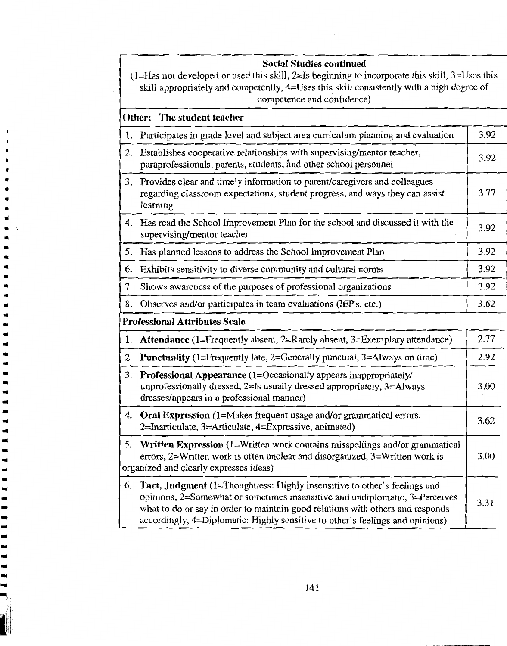| <b>Social Studies continued</b><br>$(1=Ha$ s not developed or used this skill, $2=Is$ beginning to incorporate this skill, $3=Us$ es this<br>skill appropriately and competently, 4=Uses this skill consistently with a high degree of<br>competence and confidence) |                                                                                                                                                                                                                                                                                                                                   |      |
|----------------------------------------------------------------------------------------------------------------------------------------------------------------------------------------------------------------------------------------------------------------------|-----------------------------------------------------------------------------------------------------------------------------------------------------------------------------------------------------------------------------------------------------------------------------------------------------------------------------------|------|
|                                                                                                                                                                                                                                                                      | Other: The student teacher                                                                                                                                                                                                                                                                                                        |      |
| 1.                                                                                                                                                                                                                                                                   | Participates in grade level and subject area curriculum planning and evaluation                                                                                                                                                                                                                                                   | 3.92 |
| 2.                                                                                                                                                                                                                                                                   | Establishes cooperative relationships with supervising/mentor teacher,<br>paraprofessionals, parents, students, and other school personnel                                                                                                                                                                                        | 3.92 |
| 3.                                                                                                                                                                                                                                                                   | Provides clear and timely information to parent/caregivers and colleagues<br>regarding classroom expectations, student progress, and ways they can assist<br>learning                                                                                                                                                             | 3.77 |
|                                                                                                                                                                                                                                                                      | 4. Has read the School Improvement Plan for the school and discussed it with the<br>supervising/mentor teacher                                                                                                                                                                                                                    | 3.92 |
| 5.                                                                                                                                                                                                                                                                   | Has planned lessons to address the School Improvement Plan                                                                                                                                                                                                                                                                        | 3.92 |
| 6.                                                                                                                                                                                                                                                                   | Exhibits sensitivity to diverse community and cultural norms                                                                                                                                                                                                                                                                      | 3.92 |
| 7.                                                                                                                                                                                                                                                                   | Shows awareness of the purposes of professional organizations                                                                                                                                                                                                                                                                     | 3.92 |
| 8.                                                                                                                                                                                                                                                                   | Observes and/or participates in team evaluations (IEP's, etc.)                                                                                                                                                                                                                                                                    | 3.62 |
|                                                                                                                                                                                                                                                                      | <b>Professional Attributes Scale</b>                                                                                                                                                                                                                                                                                              |      |
| 1.                                                                                                                                                                                                                                                                   | Attendance (1=Frequently absent, 2=Rarely absent, 3=Exemplary attendance)                                                                                                                                                                                                                                                         | 2.77 |
| 2.                                                                                                                                                                                                                                                                   | <b>Punctuality</b> (1=Frequently late, 2=Generally punctual, 3=Always on time)                                                                                                                                                                                                                                                    | 2.92 |
| 3.                                                                                                                                                                                                                                                                   | Professional Appearance (1=Occasionally appears inappropriately/<br>unprofessionally dressed, 2=Is usually dressed appropriately, 3=Always<br>dresses/appears in a professional manner)                                                                                                                                           | 3.00 |
|                                                                                                                                                                                                                                                                      | 4. Oral Expression (1=Makes frequent usage and/or grammatical errors,<br>2=Inarticulate, 3=Articulate, 4=Expressive, animated)                                                                                                                                                                                                    | 3.62 |
|                                                                                                                                                                                                                                                                      | 5. Written Expression (1=Written work contains misspellings and/or grammatical<br>errors, 2=Written work is often unclear and disorganized, 3=Written work is<br>organized and clearly expresses ideas)                                                                                                                           | 3.00 |
| 6.                                                                                                                                                                                                                                                                   | Tact, Judgment (1=Thoughtless: Highly insensitive to other's feelings and<br>opinions, $2=$ Somewhat or sometimes insensitive and undiplomatic, $3=$ Perceives<br>what to do or say in order to maintain good relations with others and responds<br>accordingly, 4=Diplomatic: Highly sensitive to other's feelings and opinions) | 3.31 |

 $\hat{\alpha}$  .

 $141$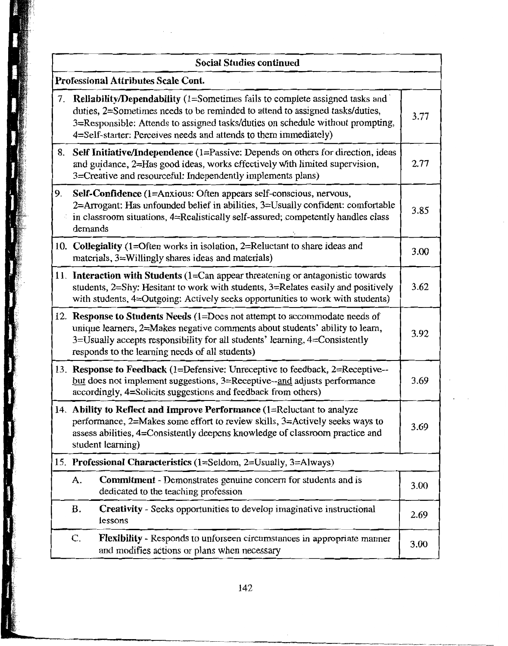|    | <b>Social Studies continued</b>                                                                                                                                                                                                                                                                                          |      |
|----|--------------------------------------------------------------------------------------------------------------------------------------------------------------------------------------------------------------------------------------------------------------------------------------------------------------------------|------|
|    | <b>Professional Attributes Scale Cont.</b>                                                                                                                                                                                                                                                                               |      |
| 7. | <b>Reliability/Dependability</b> (1=Sometimes fails to complete assigned tasks and<br>duties, 2=Sometimes needs to be reminded to attend to assigned tasks/duties,<br>3=Responsible: Attends to assigned tasks/duties on schedule without prompting,<br>4=Self-starter: Perceives needs and attends to them immediately) | 3.77 |
|    | 8. Self Initiative/Independence (1=Passive: Depends on others for direction, ideas<br>and guidance, 2=Has good ideas, works effectively with limited supervision,<br>3=Creative and resourceful: Independently implements plans)                                                                                         | 2.77 |
| 9. | Self-Confidence (1=Anxious: Often appears self-conscious, nervous,<br>2=Arrogant: Has unfounded belief in abilities, 3=Usually confident: comfortable<br>in classroom situations, 4=Realistically self-assured; competently handles class<br>demands                                                                     | 3.85 |
|    | 10. Collegiality (1=Often works in isolation, 2=Reluctant to share ideas and<br>materials, 3=Willingly shares ideas and materials)                                                                                                                                                                                       | 3.00 |
|    | 11. Interaction with Students (1=Can appear threatening or antagonistic towards<br>students, 2=Shy: Hesitant to work with students, 3=Relates easily and positively<br>with students, 4=Outgoing: Actively seeks opportunities to work with students)                                                                    | 3.62 |
|    | 12. Response to Students Needs (1=Does not attempt to accommodate needs of<br>unique learners, 2=Makes negative comments about students' ability to learn,<br>3=Usually accepts responsibility for all students' learning, 4=Consistently<br>responds to the learning needs of all students)                             | 3.92 |
|    | 13. Response to Feedback (1=Defensive: Unreceptive to feedback, 2=Receptive--<br>but does not implement suggestions, 3=Receptive--and adjusts performance<br>accordingly, 4=Solicits suggestions and feedback from others)                                                                                               | 3.69 |
|    | 14. Ability to Reflect and Improve Performance (1=Reluctant to analyze<br>performance, 2=Makes some effort to review skills, 3=Actively seeks ways to<br>assess abilities, 4=Consistently deepens knowledge of classroom practice and<br>student learning)                                                               | 3.69 |
|    | 15. Professional Characteristics (1=Seldom, 2=Usually, 3=Always)                                                                                                                                                                                                                                                         |      |
|    | A.<br><b>Commitment</b> - Demonstrates genuine concern for students and is<br>dedicated to the teaching profession                                                                                                                                                                                                       | 3.00 |
|    | <b>B.</b><br><b>Creativity</b> - Seeks opportunities to develop imaginative instructional<br>lessons                                                                                                                                                                                                                     | 2.69 |
|    | C.<br>Flexibility - Responds to unforseen circumstances in appropriate manner<br>and modifies actions or plans when necessary                                                                                                                                                                                            | 3.00 |

 $\overline{a}$ 

法法院

į

**SERVICE** 

**RANGE**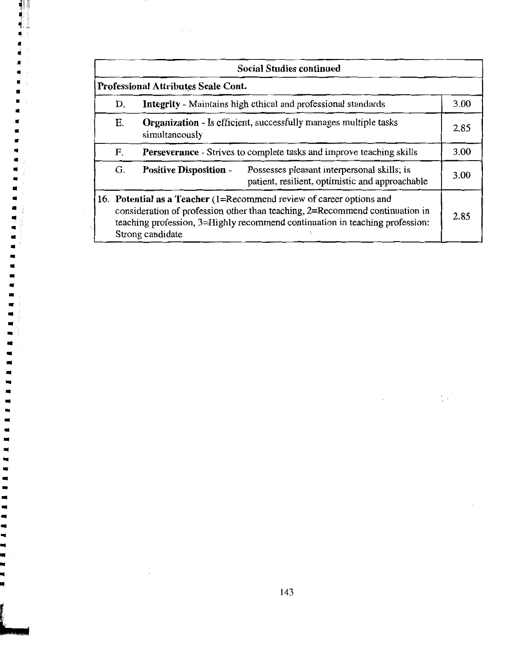| <b>Social Studies continued</b>                                                                                                                                                                                                                          |                               |                                                                                                |      |
|----------------------------------------------------------------------------------------------------------------------------------------------------------------------------------------------------------------------------------------------------------|-------------------------------|------------------------------------------------------------------------------------------------|------|
| <b>Professional Attributes Scale Cont.</b>                                                                                                                                                                                                               |                               |                                                                                                |      |
| Integrity - Maintains high ethical and professional standards<br>D.                                                                                                                                                                                      |                               | 3.00                                                                                           |      |
| <b>Organization</b> - Is efficient, successfully manages multiple tasks<br>Е.<br>simultaneously                                                                                                                                                          |                               | 2.85                                                                                           |      |
| Perseverance - Strives to complete tasks and improve teaching skills<br>F.                                                                                                                                                                               |                               | 3.00                                                                                           |      |
| G.                                                                                                                                                                                                                                                       | <b>Positive Disposition -</b> | Possesses pleasant interpersonal skills; is<br>patient, resilient, optimistic and approachable | 3.00 |
| 16. Potential as a Teacher (1=Recommend review of career options and<br>consideration of profession other than teaching, 2=Recommend continuation in<br>teaching profession, 3=Highly recommend continuation in teaching profession:<br>Strong candidate |                               | 2.85                                                                                           |      |

 $\hat{\lambda}$  .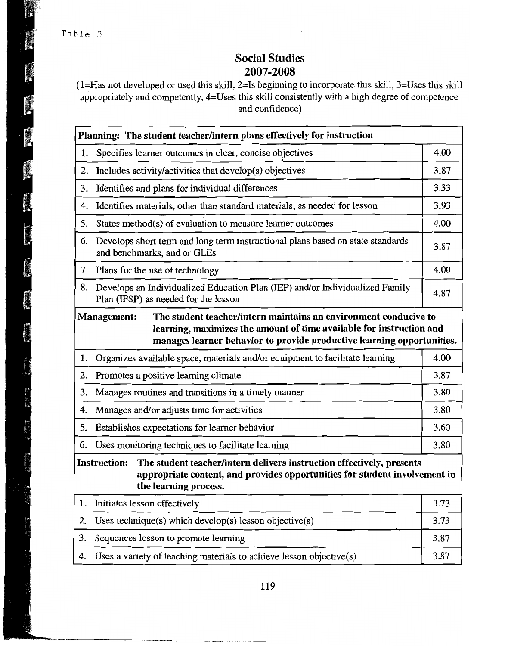# **Social Studies** 2007-2008

(1=Has not developed or used this skill, 2=Is beginning to incorporate this skill, 3=Uses this skill appropriately and competently, 4=Uses this skill consistently with a high degree of competence and confidence)

|                                                                                                                                                                                                                                          | Planning: The student teacher/intern plans effectively for instruction                                               |      |  |  |
|------------------------------------------------------------------------------------------------------------------------------------------------------------------------------------------------------------------------------------------|----------------------------------------------------------------------------------------------------------------------|------|--|--|
| 1.                                                                                                                                                                                                                                       | Specifies learner outcomes in clear, concise objectives                                                              | 4.00 |  |  |
| 2.                                                                                                                                                                                                                                       | Includes activity/activities that develop(s) objectives                                                              |      |  |  |
| 3.                                                                                                                                                                                                                                       | Identifies and plans for individual differences                                                                      | 3.33 |  |  |
| 4.                                                                                                                                                                                                                                       | Identifies materials, other than standard materials, as needed for lesson                                            | 3.93 |  |  |
| 5.                                                                                                                                                                                                                                       | States method(s) of evaluation to measure learner outcomes                                                           | 4.00 |  |  |
| 6.                                                                                                                                                                                                                                       | Develops short term and long term instructional plans based on state standards<br>and benchmarks, and or GLEs        |      |  |  |
| 7.                                                                                                                                                                                                                                       | Plans for the use of technology                                                                                      | 4.00 |  |  |
| 8.                                                                                                                                                                                                                                       | Develops an Individualized Education Plan (IEP) and/or Individualized Family<br>Plan (IFSP) as needed for the lesson | 4.87 |  |  |
| <b>Management:</b><br>The student teacher/intern maintains an environment conducive to<br>learning, maximizes the amount of time available for instruction and<br>manages learner behavior to provide productive learning opportunities. |                                                                                                                      |      |  |  |
| 1.                                                                                                                                                                                                                                       | Organizes available space, materials and/or equipment to facilitate learning                                         | 4.00 |  |  |
| 2.                                                                                                                                                                                                                                       | Promotes a positive learning climate                                                                                 | 3.87 |  |  |
| 3.                                                                                                                                                                                                                                       | Manages routines and transitions in a timely manner                                                                  |      |  |  |
| 4.                                                                                                                                                                                                                                       | Manages and/or adjusts time for activities                                                                           |      |  |  |
| 5.                                                                                                                                                                                                                                       | Establishes expectations for learner behavior                                                                        | 3.60 |  |  |
| 6.                                                                                                                                                                                                                                       | Uses monitoring techniques to facilitate learning                                                                    | 3.80 |  |  |
| <b>Instruction:</b><br>The student teacher/intern delivers instruction effectively, presents<br>appropriate content, and provides opportunities for student involvement in<br>the learning process.                                      |                                                                                                                      |      |  |  |
| 1.                                                                                                                                                                                                                                       | Initiates lesson effectively                                                                                         | 3.73 |  |  |
| 2.                                                                                                                                                                                                                                       | Uses technique(s) which develop(s) lesson objective(s)                                                               | 3.73 |  |  |
| 3.                                                                                                                                                                                                                                       | Sequences lesson to promote learning                                                                                 |      |  |  |
| 4.                                                                                                                                                                                                                                       | Uses a variety of teaching materials to achieve lesson objective(s)                                                  |      |  |  |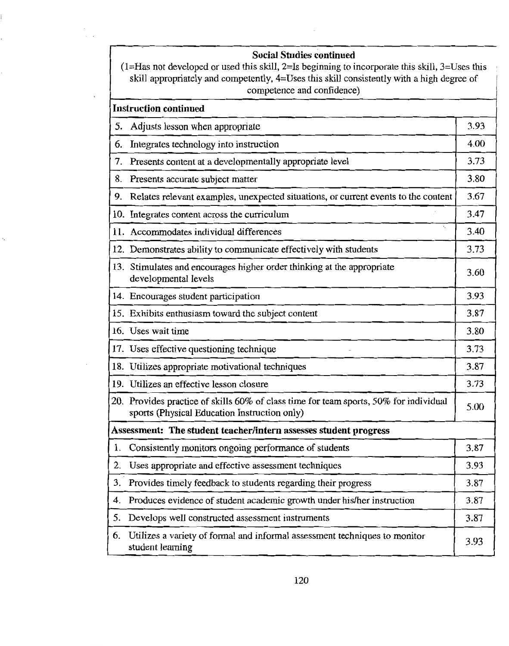## **Social Studies continued**

| $(1=Ha$ s not developed or used this skill, $2=Is$ beginning to incorporate this skill, $3=Us$ es this |
|--------------------------------------------------------------------------------------------------------|
| skill appropriately and competently, 4=Uses this skill consistently with a high degree of              |
| competence and confidence)                                                                             |

| <b>Instruction continued</b> |                                                                                                                                       |      |  |
|------------------------------|---------------------------------------------------------------------------------------------------------------------------------------|------|--|
| 5.                           | Adjusts lesson when appropriate                                                                                                       | 3.93 |  |
| 6.                           | Integrates technology into instruction                                                                                                | 4.00 |  |
| 7.                           | Presents content at a developmentally appropriate level                                                                               | 3.73 |  |
| 8.                           | Presents accurate subject matter                                                                                                      | 3.80 |  |
| 9.                           | Relates relevant examples, unexpected situations, or current events to the content                                                    | 3.67 |  |
|                              | 10. Integrates content across the curriculum                                                                                          | 3.47 |  |
|                              | ۰,<br>11. Accommodates individual differences                                                                                         | 3.40 |  |
|                              | 12. Demonstrates ability to communicate effectively with students                                                                     | 3.73 |  |
|                              | 13. Stimulates and encourages higher order thinking at the appropriate<br>developmental levels                                        | 3.60 |  |
|                              | 14. Encourages student participation                                                                                                  | 3.93 |  |
|                              | 15. Exhibits enthusiasm toward the subject content                                                                                    | 3.87 |  |
|                              | 16. Uses wait time                                                                                                                    | 3.80 |  |
|                              | 17. Uses effective questioning technique                                                                                              | 3.73 |  |
|                              | 18. Utilizes appropriate motivational techniques                                                                                      | 3.87 |  |
|                              | 19. Utilizes an effective lesson closure                                                                                              | 3.73 |  |
|                              | 20. Provides practice of skills 60% of class time for team sports, 50% for individual<br>sports (Physical Education Instruction only) | 5.00 |  |
|                              | Assessment: The student teacher/intern assesses student progress                                                                      |      |  |
| 1.                           | Consistently monitors ongoing performance of students                                                                                 | 3.87 |  |
| 2.                           | Uses appropriate and effective assessment techniques                                                                                  | 3.93 |  |
| 3.                           | Provides timely feedback to students regarding their progress                                                                         | 3.87 |  |
| 4.                           | Produces evidence of student academic growth under his/her instruction                                                                | 3.87 |  |
| 5.                           | Develops well constructed assessment instruments                                                                                      | 3.87 |  |
| 6.                           | Utilizes a variety of formal and informal assessment techniques to monitor<br>student learning                                        | 3.93 |  |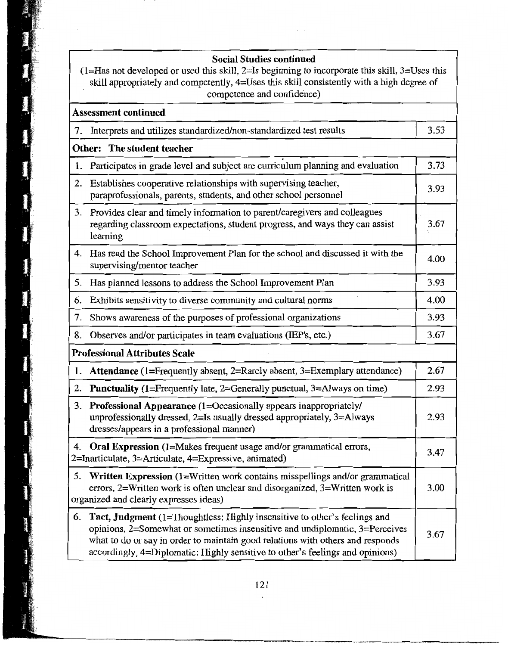## **Social Studies continued**

(1=Has not developed or used this skill, 2=Is beginning to incorporate this skill, 3=Uses this skill appropriately and competently, 4=Uses this skill consistently with a high degree of competence and confidence)

**Broadway** 

statement

*Communication* 

| <b>Assessment continued</b>          |                                                                                                                                                                                                                                                                                                                                   |      |  |
|--------------------------------------|-----------------------------------------------------------------------------------------------------------------------------------------------------------------------------------------------------------------------------------------------------------------------------------------------------------------------------------|------|--|
|                                      | 7. Interprets and utilizes standardized/non-standardized test results                                                                                                                                                                                                                                                             | 3.53 |  |
| <b>Other:</b> The student teacher    |                                                                                                                                                                                                                                                                                                                                   |      |  |
| 1.                                   | Participates in grade level and subject are curriculum planning and evaluation                                                                                                                                                                                                                                                    | 3.73 |  |
| 2.                                   | Establishes cooperative relationships with supervising teacher,<br>paraprofessionals, parents, students, and other school personnel                                                                                                                                                                                               |      |  |
| 3.                                   | Provides clear and timely information to parent/caregivers and colleagues<br>regarding classroom expectations, student progress, and ways they can assist<br>learning                                                                                                                                                             |      |  |
| 4.                                   | Has read the School Improvement Plan for the school and discussed it with the<br>supervising/mentor teacher                                                                                                                                                                                                                       | 4.00 |  |
| 5.                                   | Has planned lessons to address the School Improvement Plan                                                                                                                                                                                                                                                                        | 3.93 |  |
| 6.                                   | Exhibits sensitivity to diverse community and cultural norms                                                                                                                                                                                                                                                                      | 4.00 |  |
| 7.                                   | Shows awareness of the purposes of professional organizations                                                                                                                                                                                                                                                                     | 3.93 |  |
| 8.                                   | Observes and/or participates in team evaluations (IEP's, etc.)                                                                                                                                                                                                                                                                    | 3.67 |  |
| <b>Professional Attributes Scale</b> |                                                                                                                                                                                                                                                                                                                                   |      |  |
| 1.                                   | Attendance (1=Frequently absent, 2=Rarely absent, 3=Exemplary attendance)                                                                                                                                                                                                                                                         | 2.67 |  |
| 2.                                   | <b>Punctuality</b> (1=Frequently late, 2=Generally punctual, 3=Always on time)                                                                                                                                                                                                                                                    | 2.93 |  |
| 3.                                   | <b>Professional Appearance (1=Occasionally appears inappropriately/</b><br>unprofessionally dressed, 2=Is usually dressed appropriately, 3=Always<br>dresses/appears in a professional manner)                                                                                                                                    | 2.93 |  |
|                                      | 4. Oral Expression (1=Makes frequent usage and/or grammatical errors,<br>2=Inarticulate, 3=Articulate, 4=Expressive, animated)                                                                                                                                                                                                    | 3.47 |  |
| 5.                                   | Written Expression (1=Written work contains misspellings and/or grammatical<br>errors, $2=W$ ritten work is often unclear and disorganized, $3=W$ ritten work is<br>organized and clearly expresses ideas)                                                                                                                        | 3.00 |  |
| 6.                                   | Tact, Judgment (1=Thoughtless: Highly insensitive to other's feelings and<br>opinions, $2$ =Somewhat or sometimes insensitive and undiplomatic, $3$ =Perceives<br>what to do or say in order to maintain good relations with others and responds<br>accordingly, 4=Diplomatic: Highly sensitive to other's feelings and opinions) | 3.67 |  |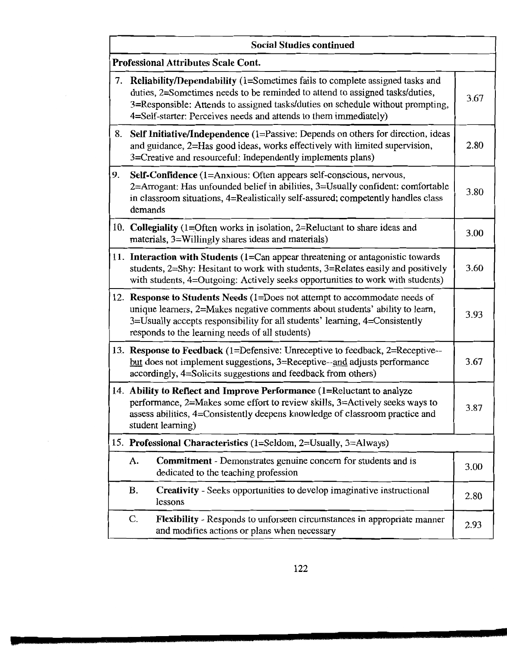|    | <b>Social Studies continued</b>                                                                                                                                                                                                                                                                                   |      |
|----|-------------------------------------------------------------------------------------------------------------------------------------------------------------------------------------------------------------------------------------------------------------------------------------------------------------------|------|
|    | <b>Professional Attributes Scale Cont.</b>                                                                                                                                                                                                                                                                        |      |
| 7. | Reliability/Dependability (1=Sometimes fails to complete assigned tasks and<br>duties, 2=Sometimes needs to be reminded to attend to assigned tasks/duties,<br>3=Responsible: Attends to assigned tasks/duties on schedule without prompting,<br>4=Self-starter: Perceives needs and attends to them immediately) |      |
|    | 8. Self Initiative/Independence (1=Passive: Depends on others for direction, ideas<br>and guidance, 2=Has good ideas, works effectively with limited supervision,<br>3=Creative and resourceful: Independently implements plans)                                                                                  |      |
| 9. | Self-Confidence (1=Anxious: Often appears self-conscious, nervous,<br>2=Arrogant: Has unfounded belief in abilities, 3=Usually confident: comfortable<br>in classroom situations, 4=Realistically self-assured; competently handles class<br>demands                                                              |      |
|    | 10. Collegiality (1=Often works in isolation, 2=Reluctant to share ideas and<br>materials, 3=Willingly shares ideas and materials)                                                                                                                                                                                | 3.00 |
|    | 11. Interaction with Students (1=Can appear threatening or antagonistic towards<br>students, 2=Shy: Hesitant to work with students, 3=Relates easily and positively<br>with students, 4=Outgoing: Actively seeks opportunities to work with students)                                                             |      |
|    | 12. Response to Students Needs (1=Does not attempt to accommodate needs of<br>unique learners, 2=Makes negative comments about students' ability to learn,<br>3=Usually accepts responsibility for all students' learning, 4=Consistently<br>responds to the learning needs of all students)                      |      |
|    | 13. Response to Feedback (1=Defensive: Unreceptive to feedback, 2=Receptive--<br>but does not implement suggestions, 3=Receptive--and adjusts performance<br>accordingly, 4=Solicits suggestions and feedback from others)                                                                                        |      |
|    | 14. Ability to Reflect and Improve Performance (1=Reluctant to analyze<br>performance, 2=Makes some effort to review skills, 3=Actively seeks ways to<br>assess abilities, 4=Consistently deepens knowledge of classroom practice and<br>student learning)                                                        |      |
|    | 15. Professional Characteristics (1=Seldom, 2=Usually, 3=Always)                                                                                                                                                                                                                                                  |      |
|    | <b>Commitment</b> - Demonstrates genuine concern for students and is<br>A.<br>dedicated to the teaching profession                                                                                                                                                                                                | 3.00 |
|    | В.<br><b>Creativity</b> - Seeks opportunities to develop imaginative instructional<br>lessons                                                                                                                                                                                                                     | 2.80 |
|    | C.<br><b>Flexibility</b> - Responds to unforseen circumstances in appropriate manner<br>and modifies actions or plans when necessary                                                                                                                                                                              | 2.93 |

 $\sim$